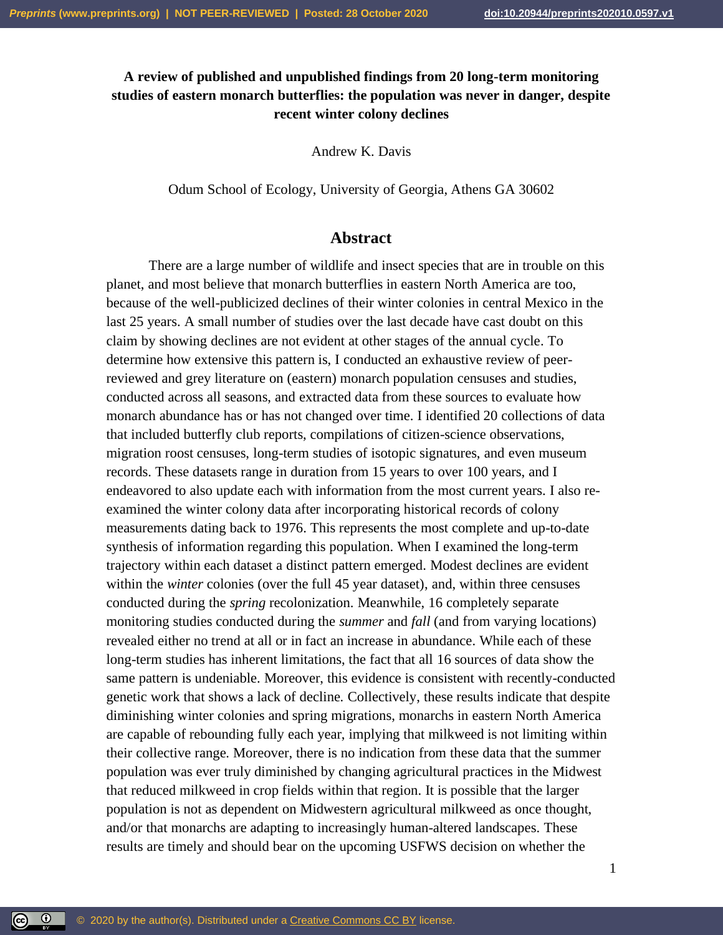# **A review of published and unpublished findings from 20 long-term monitoring studies of eastern monarch butterflies: the population was never in danger, despite recent winter colony declines**

Andrew K. Davis

Odum School of Ecology, University of Georgia, Athens GA 30602

## **Abstract**

There are a large number of wildlife and insect species that are in trouble on this planet, and most believe that monarch butterflies in eastern North America are too, because of the well-publicized declines of their winter colonies in central Mexico in the last 25 years. A small number of studies over the last decade have cast doubt on this claim by showing declines are not evident at other stages of the annual cycle. To determine how extensive this pattern is, I conducted an exhaustive review of peerreviewed and grey literature on (eastern) monarch population censuses and studies, conducted across all seasons, and extracted data from these sources to evaluate how monarch abundance has or has not changed over time. I identified 20 collections of data that included butterfly club reports, compilations of citizen-science observations, migration roost censuses, long-term studies of isotopic signatures, and even museum records. These datasets range in duration from 15 years to over 100 years, and I endeavored to also update each with information from the most current years. I also reexamined the winter colony data after incorporating historical records of colony measurements dating back to 1976. This represents the most complete and up-to-date synthesis of information regarding this population. When I examined the long-term trajectory within each dataset a distinct pattern emerged. Modest declines are evident within the *winter* colonies (over the full 45 year dataset), and, within three censuses conducted during the *spring* recolonization. Meanwhile, 16 completely separate monitoring studies conducted during the *summer* and *fall* (and from varying locations) revealed either no trend at all or in fact an increase in abundance. While each of these long-term studies has inherent limitations, the fact that all 16 sources of data show the same pattern is undeniable. Moreover, this evidence is consistent with recently-conducted genetic work that shows a lack of decline. Collectively, these results indicate that despite diminishing winter colonies and spring migrations, monarchs in eastern North America are capable of rebounding fully each year, implying that milkweed is not limiting within their collective range. Moreover, there is no indication from these data that the summer population was ever truly diminished by changing agricultural practices in the Midwest that reduced milkweed in crop fields within that region. It is possible that the larger population is not as dependent on Midwestern agricultural milkweed as once thought, and/or that monarchs are adapting to increasingly human-altered landscapes. These results are timely and should bear on the upcoming USFWS decision on whether the

1

 $\circledcirc$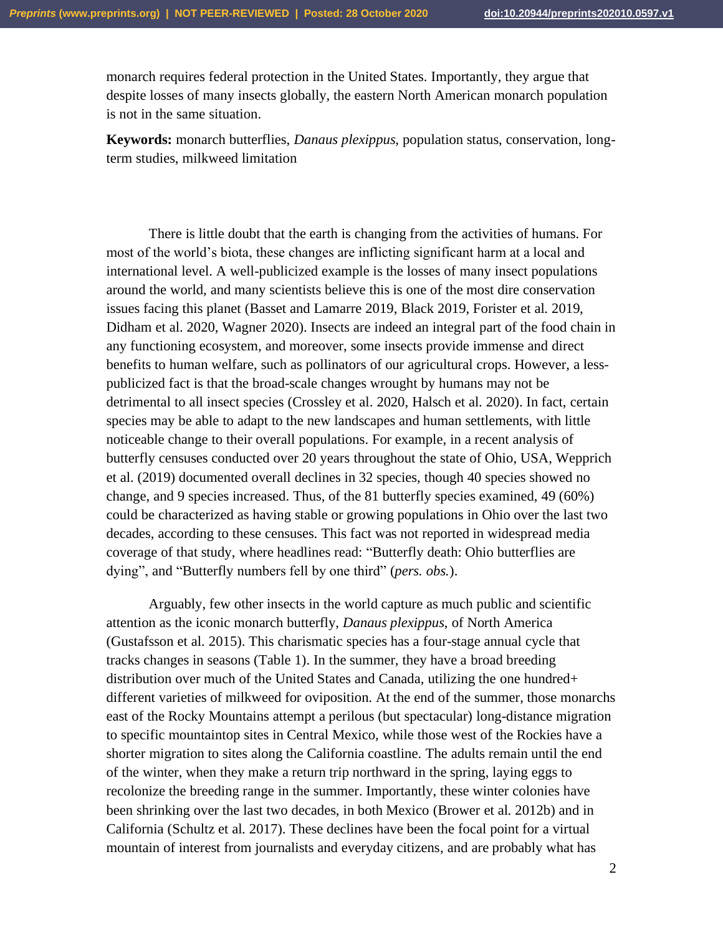monarch requires federal protection in the United States. Importantly, they argue that despite losses of many insects globally, the eastern North American monarch population is not in the same situation.

**Keywords:** monarch butterflies, *Danaus plexippus*, population status, conservation, longterm studies, milkweed limitation

There is little doubt that the earth is changing from the activities of humans. For most of the world's biota, these changes are inflicting significant harm at a local and international level. A well-publicized example is the losses of many insect populations around the world, and many scientists believe this is one of the most dire conservation issues facing this planet (Basset and Lamarre 2019, Black 2019, Forister et al. 2019, Didham et al. 2020, Wagner 2020). Insects are indeed an integral part of the food chain in any functioning ecosystem, and moreover, some insects provide immense and direct benefits to human welfare, such as pollinators of our agricultural crops. However, a lesspublicized fact is that the broad-scale changes wrought by humans may not be detrimental to all insect species (Crossley et al. 2020, Halsch et al. 2020). In fact, certain species may be able to adapt to the new landscapes and human settlements, with little noticeable change to their overall populations. For example, in a recent analysis of butterfly censuses conducted over 20 years throughout the state of Ohio, USA, Wepprich et al. (2019) documented overall declines in 32 species, though 40 species showed no change, and 9 species increased. Thus, of the 81 butterfly species examined, 49 (60%) could be characterized as having stable or growing populations in Ohio over the last two decades, according to these censuses. This fact was not reported in widespread media coverage of that study, where headlines read: "Butterfly death: Ohio butterflies are dying", and "Butterfly numbers fell by one third" (*pers. obs.*).

Arguably, few other insects in the world capture as much public and scientific attention as the iconic monarch butterfly, *Danaus plexippus*, of North America (Gustafsson et al. 2015). This charismatic species has a four-stage annual cycle that tracks changes in seasons (Table 1). In the summer, they have a broad breeding distribution over much of the United States and Canada, utilizing the one hundred+ different varieties of milkweed for oviposition. At the end of the summer, those monarchs east of the Rocky Mountains attempt a perilous (but spectacular) long-distance migration to specific mountaintop sites in Central Mexico, while those west of the Rockies have a shorter migration to sites along the California coastline. The adults remain until the end of the winter, when they make a return trip northward in the spring, laying eggs to recolonize the breeding range in the summer. Importantly, these winter colonies have been shrinking over the last two decades, in both Mexico (Brower et al. 2012b) and in California (Schultz et al. 2017). These declines have been the focal point for a virtual mountain of interest from journalists and everyday citizens, and are probably what has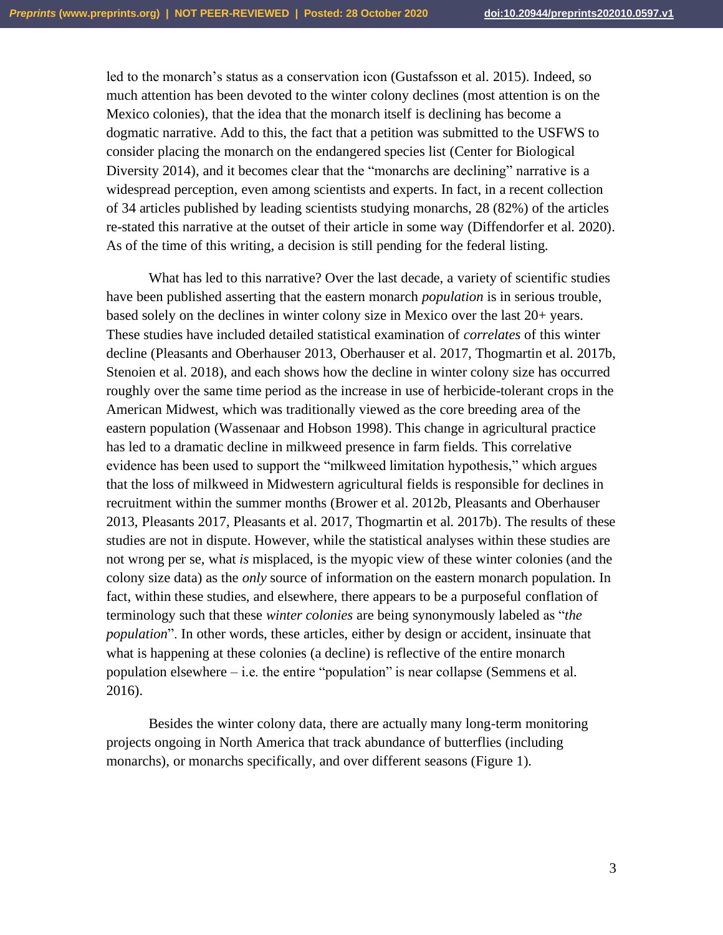led to the monarch's status as a conservation icon (Gustafsson et al. 2015). Indeed, so much attention has been devoted to the winter colony declines (most attention is on the Mexico colonies), that the idea that the monarch itself is declining has become a dogmatic narrative. Add to this, the fact that a petition was submitted to the USFWS to consider placing the monarch on the endangered species list (Center for Biological Diversity 2014), and it becomes clear that the "monarchs are declining" narrative is a widespread perception, even among scientists and experts. In fact, in a recent collection of 34 articles published by leading scientists studying monarchs, 28 (82%) of the articles re-stated this narrative at the outset of their article in some way (Diffendorfer et al. 2020). As of the time of this writing, a decision is still pending for the federal listing.

What has led to this narrative? Over the last decade, a variety of scientific studies have been published asserting that the eastern monarch *population* is in serious trouble, based solely on the declines in winter colony size in Mexico over the last 20+ years. These studies have included detailed statistical examination of *correlates* of this winter decline (Pleasants and Oberhauser 2013, Oberhauser et al. 2017, Thogmartin et al. 2017b, Stenoien et al. 2018), and each shows how the decline in winter colony size has occurred roughly over the same time period as the increase in use of herbicide-tolerant crops in the American Midwest, which was traditionally viewed as the core breeding area of the eastern population (Wassenaar and Hobson 1998). This change in agricultural practice has led to a dramatic decline in milkweed presence in farm fields. This correlative evidence has been used to support the "milkweed limitation hypothesis," which argues that the loss of milkweed in Midwestern agricultural fields is responsible for declines in recruitment within the summer months (Brower et al. 2012b, Pleasants and Oberhauser 2013, Pleasants 2017, Pleasants et al. 2017, Thogmartin et al. 2017b). The results of these studies are not in dispute. However, while the statistical analyses within these studies are not wrong per se, what *is* misplaced, is the myopic view of these winter colonies (and the colony size data) as the *only* source of information on the eastern monarch population. In fact, within these studies, and elsewhere, there appears to be a purposeful conflation of terminology such that these *winter colonies* are being synonymously labeled as "*the population*". In other words, these articles, either by design or accident, insinuate that what is happening at these colonies (a decline) is reflective of the entire monarch population elsewhere – i.e. the entire "population" is near collapse (Semmens et al. 2016).

Besides the winter colony data, there are actually many long-term monitoring projects ongoing in North America that track abundance of butterflies (including monarchs), or monarchs specifically, and over different seasons (Figure 1).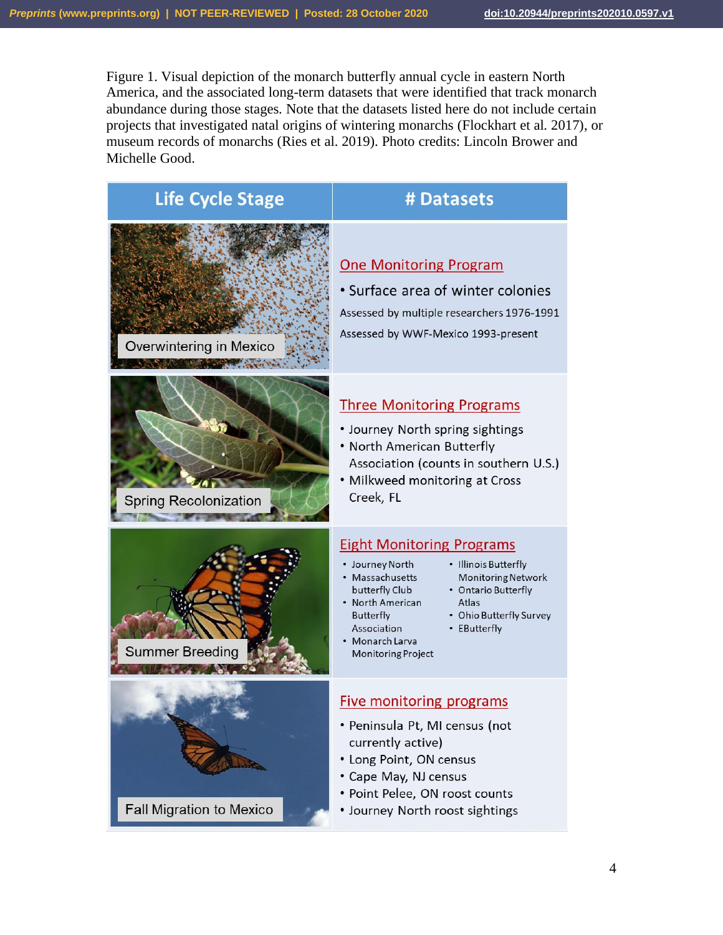Figure 1. Visual depiction of the monarch butterfly annual cycle in eastern North America, and the associated long-term datasets that were identified that track monarch abundance during those stages. Note that the datasets listed here do not include certain projects that investigated natal origins of wintering monarchs (Flockhart et al. 2017), or museum records of monarchs (Ries et al. 2019). Photo credits: Lincoln Brower and Michelle Good.



4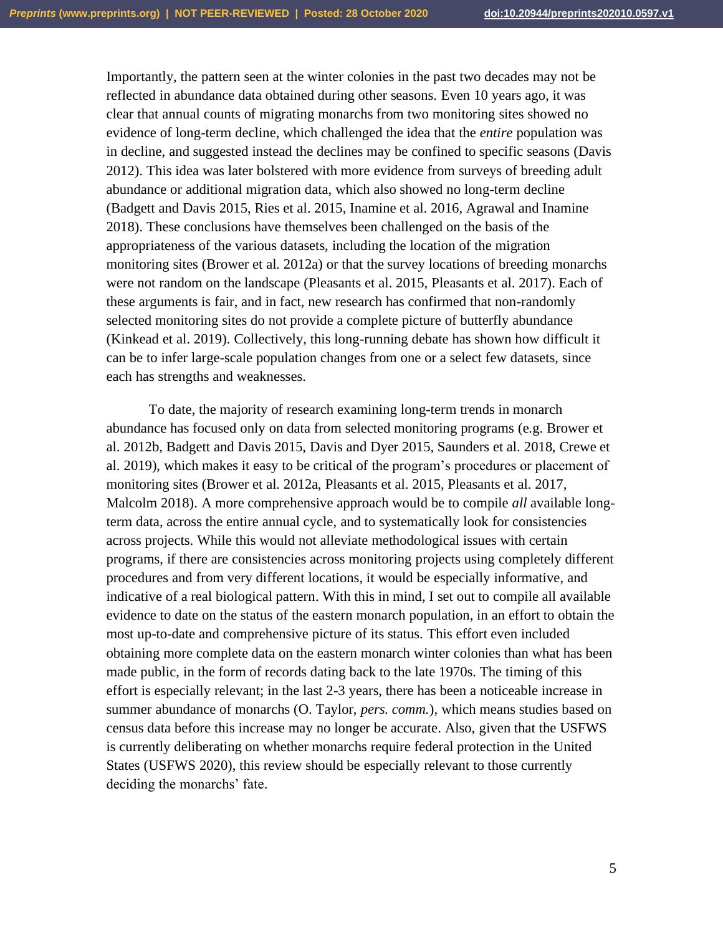Importantly, the pattern seen at the winter colonies in the past two decades may not be reflected in abundance data obtained during other seasons. Even 10 years ago, it was clear that annual counts of migrating monarchs from two monitoring sites showed no evidence of long-term decline, which challenged the idea that the *entire* population was in decline, and suggested instead the declines may be confined to specific seasons (Davis 2012). This idea was later bolstered with more evidence from surveys of breeding adult abundance or additional migration data, which also showed no long-term decline (Badgett and Davis 2015, Ries et al. 2015, Inamine et al. 2016, Agrawal and Inamine 2018). These conclusions have themselves been challenged on the basis of the appropriateness of the various datasets, including the location of the migration monitoring sites (Brower et al. 2012a) or that the survey locations of breeding monarchs were not random on the landscape (Pleasants et al. 2015, Pleasants et al. 2017). Each of these arguments is fair, and in fact, new research has confirmed that non-randomly selected monitoring sites do not provide a complete picture of butterfly abundance (Kinkead et al. 2019). Collectively, this long-running debate has shown how difficult it can be to infer large-scale population changes from one or a select few datasets, since each has strengths and weaknesses.

To date, the majority of research examining long-term trends in monarch abundance has focused only on data from selected monitoring programs (e.g. Brower et al. 2012b, Badgett and Davis 2015, Davis and Dyer 2015, Saunders et al. 2018, Crewe et al. 2019), which makes it easy to be critical of the program's procedures or placement of monitoring sites (Brower et al. 2012a, Pleasants et al. 2015, Pleasants et al. 2017, Malcolm 2018). A more comprehensive approach would be to compile *all* available longterm data, across the entire annual cycle, and to systematically look for consistencies across projects. While this would not alleviate methodological issues with certain programs, if there are consistencies across monitoring projects using completely different procedures and from very different locations, it would be especially informative, and indicative of a real biological pattern. With this in mind, I set out to compile all available evidence to date on the status of the eastern monarch population, in an effort to obtain the most up-to-date and comprehensive picture of its status. This effort even included obtaining more complete data on the eastern monarch winter colonies than what has been made public, in the form of records dating back to the late 1970s. The timing of this effort is especially relevant; in the last 2-3 years, there has been a noticeable increase in summer abundance of monarchs (O. Taylor, *pers. comm.*), which means studies based on census data before this increase may no longer be accurate. Also, given that the USFWS is currently deliberating on whether monarchs require federal protection in the United States (USFWS 2020), this review should be especially relevant to those currently deciding the monarchs' fate.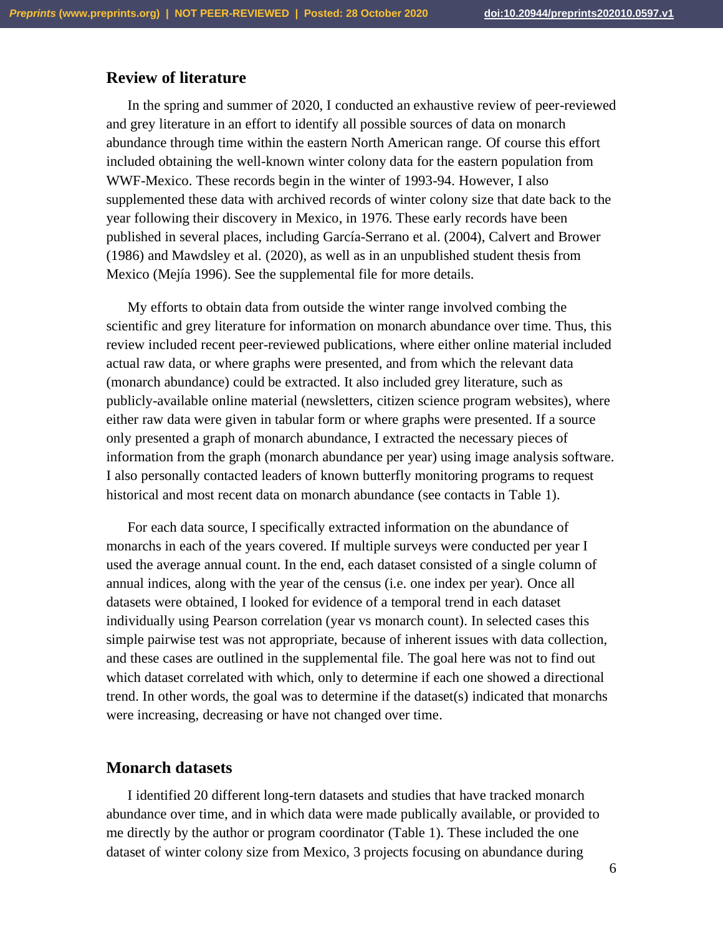# **Review of literature**

In the spring and summer of 2020, I conducted an exhaustive review of peer-reviewed and grey literature in an effort to identify all possible sources of data on monarch abundance through time within the eastern North American range. Of course this effort included obtaining the well-known winter colony data for the eastern population from WWF-Mexico. These records begin in the winter of 1993-94. However, I also supplemented these data with archived records of winter colony size that date back to the year following their discovery in Mexico, in 1976. These early records have been published in several places, including García-Serrano et al. (2004), Calvert and Brower (1986) and Mawdsley et al. (2020), as well as in an unpublished student thesis from Mexico (Mejía 1996). See the supplemental file for more details.

My efforts to obtain data from outside the winter range involved combing the scientific and grey literature for information on monarch abundance over time. Thus, this review included recent peer-reviewed publications, where either online material included actual raw data, or where graphs were presented, and from which the relevant data (monarch abundance) could be extracted. It also included grey literature, such as publicly-available online material (newsletters, citizen science program websites), where either raw data were given in tabular form or where graphs were presented. If a source only presented a graph of monarch abundance, I extracted the necessary pieces of information from the graph (monarch abundance per year) using image analysis software. I also personally contacted leaders of known butterfly monitoring programs to request historical and most recent data on monarch abundance (see contacts in Table 1).

For each data source, I specifically extracted information on the abundance of monarchs in each of the years covered. If multiple surveys were conducted per year I used the average annual count. In the end, each dataset consisted of a single column of annual indices, along with the year of the census (i.e. one index per year). Once all datasets were obtained, I looked for evidence of a temporal trend in each dataset individually using Pearson correlation (year vs monarch count). In selected cases this simple pairwise test was not appropriate, because of inherent issues with data collection, and these cases are outlined in the supplemental file. The goal here was not to find out which dataset correlated with which, only to determine if each one showed a directional trend. In other words, the goal was to determine if the dataset(s) indicated that monarchs were increasing, decreasing or have not changed over time.

### **Monarch datasets**

I identified 20 different long-tern datasets and studies that have tracked monarch abundance over time, and in which data were made publically available, or provided to me directly by the author or program coordinator (Table 1). These included the one dataset of winter colony size from Mexico, 3 projects focusing on abundance during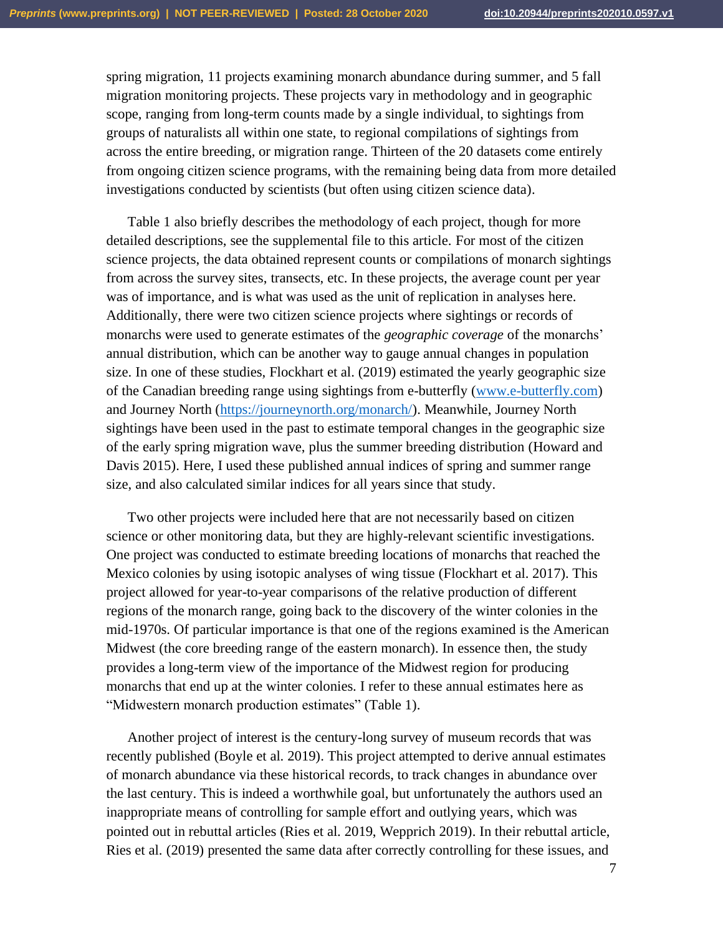spring migration, 11 projects examining monarch abundance during summer, and 5 fall migration monitoring projects. These projects vary in methodology and in geographic scope, ranging from long-term counts made by a single individual, to sightings from groups of naturalists all within one state, to regional compilations of sightings from across the entire breeding, or migration range. Thirteen of the 20 datasets come entirely from ongoing citizen science programs, with the remaining being data from more detailed investigations conducted by scientists (but often using citizen science data).

Table 1 also briefly describes the methodology of each project, though for more detailed descriptions, see the supplemental file to this article. For most of the citizen science projects, the data obtained represent counts or compilations of monarch sightings from across the survey sites, transects, etc. In these projects, the average count per year was of importance, and is what was used as the unit of replication in analyses here. Additionally, there were two citizen science projects where sightings or records of monarchs were used to generate estimates of the *geographic coverage* of the monarchs' annual distribution, which can be another way to gauge annual changes in population size. In one of these studies, Flockhart et al. (2019) estimated the yearly geographic size of the Canadian breeding range using sightings from e-butterfly [\(www.e-butterfly.com\)](http://www.e-butterfly.com/) and Journey North [\(https://journeynorth.org/monarch/\)](https://journeynorth.org/monarch/). Meanwhile, Journey North sightings have been used in the past to estimate temporal changes in the geographic size of the early spring migration wave, plus the summer breeding distribution (Howard and Davis 2015). Here, I used these published annual indices of spring and summer range size, and also calculated similar indices for all years since that study.

Two other projects were included here that are not necessarily based on citizen science or other monitoring data, but they are highly-relevant scientific investigations. One project was conducted to estimate breeding locations of monarchs that reached the Mexico colonies by using isotopic analyses of wing tissue (Flockhart et al. 2017). This project allowed for year-to-year comparisons of the relative production of different regions of the monarch range, going back to the discovery of the winter colonies in the mid-1970s. Of particular importance is that one of the regions examined is the American Midwest (the core breeding range of the eastern monarch). In essence then, the study provides a long-term view of the importance of the Midwest region for producing monarchs that end up at the winter colonies. I refer to these annual estimates here as "Midwestern monarch production estimates" (Table 1).

Another project of interest is the century-long survey of museum records that was recently published (Boyle et al. 2019). This project attempted to derive annual estimates of monarch abundance via these historical records, to track changes in abundance over the last century. This is indeed a worthwhile goal, but unfortunately the authors used an inappropriate means of controlling for sample effort and outlying years, which was pointed out in rebuttal articles (Ries et al. 2019, Wepprich 2019). In their rebuttal article, Ries et al. (2019) presented the same data after correctly controlling for these issues, and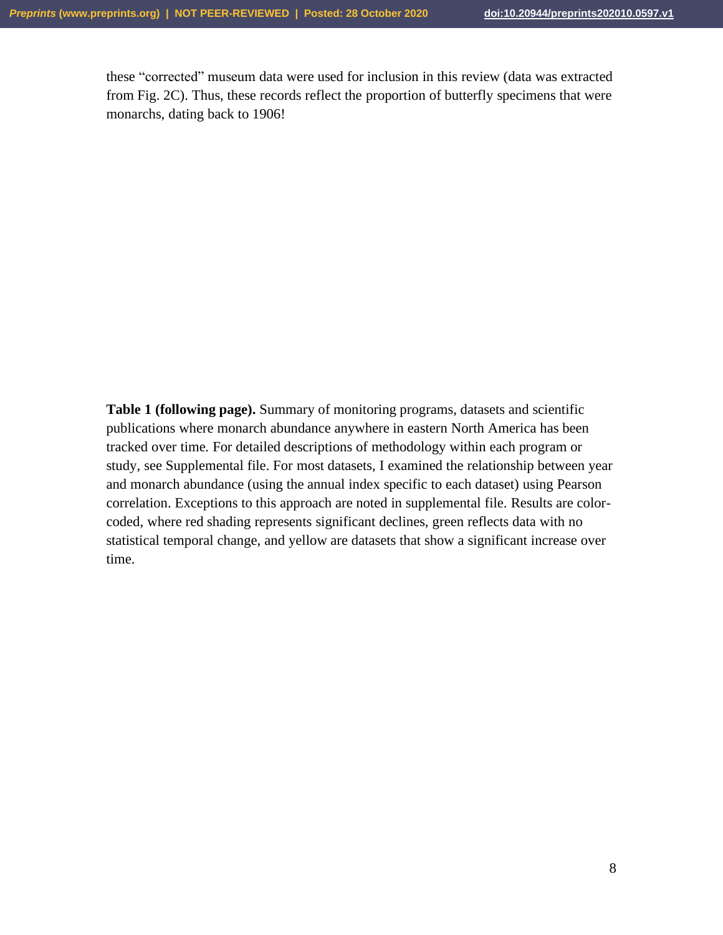these "corrected" museum data were used for inclusion in this review (data was extracted from Fig. 2C). Thus, these records reflect the proportion of butterfly specimens that were monarchs, dating back to 1906!

**Table 1 (following page).** Summary of monitoring programs, datasets and scientific publications where monarch abundance anywhere in eastern North America has been tracked over time. For detailed descriptions of methodology within each program or study, see Supplemental file. For most datasets, I examined the relationship between year and monarch abundance (using the annual index specific to each dataset) using Pearson correlation. Exceptions to this approach are noted in supplemental file. Results are colorcoded, where red shading represents significant declines, green reflects data with no statistical temporal change, and yellow are datasets that show a significant increase over time.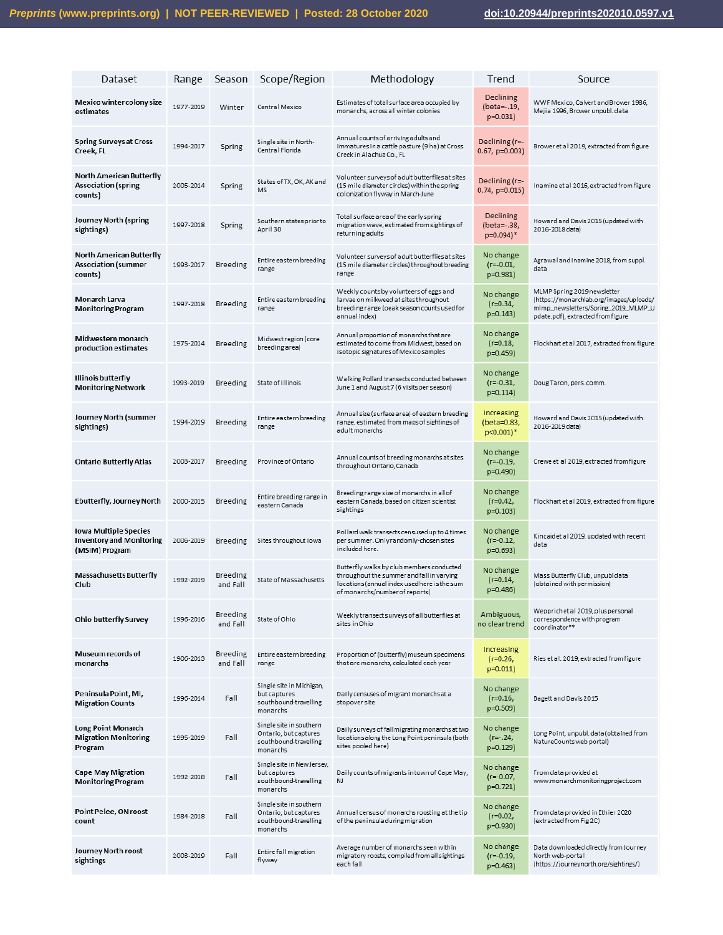| Dataset                                                                    | Range     | Season                      | Scope/Region                                                                          | Methodology                                                                                                                                                              | Trend                                    | Source                                                                                                                                             |
|----------------------------------------------------------------------------|-----------|-----------------------------|---------------------------------------------------------------------------------------|--------------------------------------------------------------------------------------------------------------------------------------------------------------------------|------------------------------------------|----------------------------------------------------------------------------------------------------------------------------------------------------|
| Mexico winter colony size<br>estimates                                     | 1977-2019 | Winter                      | Central Mexico                                                                        | Estimates of total surface area occupied by<br>monarchs, across all winter colonies                                                                                      | Declining<br>(beta = -. 19,<br>$p=0.031$ | WWF Mexico, Calvert and Brower 1986,<br>Mejia 1996, Brower unpubl. data                                                                            |
| <b>Spring Surveys at Cross</b><br>Creek, FL                                | 1994-2017 | Spring                      | Single site in North-<br>Central Florida                                              | Annual counts of arriving adults and<br>immatures in a cattle pasture (9 ha) at Cross<br>Creek in Alachua Co., FL                                                        | Declining $(r=$<br>$0.67$ , p=0.003)     | Brower et al 2019, extracted from figure                                                                                                           |
| North American Butterfly<br><b>Association (spring</b><br>counts)          | 2005-2014 | Spring                      | States of TX, OK, AK and<br><b>MS</b>                                                 | Volunteer surveys of adult butterflies at sites<br>(15 mile diameter circles) within the spring<br>colonization flyway in March-June                                     | Declining $(r=$<br>$0.74$ , $p=0.015$ )  | Inamine et al 2016, extracted from figure                                                                                                          |
| Journey North (spring<br>sightings)                                        | 1997-2018 | Spring                      | Southern states prior to<br>April 30                                                  | Total surface area of the early spring<br>migration wave, estimated from sightings of<br>returning adults                                                                | Declining<br>(beta = -. 38,<br>p=0.094)* | Howard and Davis 2015 (updated with<br>2016-2018 data)                                                                                             |
| North American Butterfly<br><b>Association (summer</b><br>counts)          | 1993-2017 | <b>Breeding</b>             | Entire eastern breeding<br>range                                                      | Volunteer surveys of adult butterflies at sites<br>(15 mile diameter circles) throughout breeding<br>range                                                               | No change<br>(r=-0.01,<br>p=0.981)       | Agrawal and Inamine 2018, from suppl.<br>data                                                                                                      |
| Monarch Larva<br><b>Monitoring Program</b>                                 | 1997-2018 | Breeding                    | Entire eastern breeding<br>range                                                      | Weekly counts by volunteers of eggs and<br>larvae on milkweed at sites throughout<br>breeding range (peak season counts used for<br>annual index)                        | No change<br>$(r=0.34,$<br>$p=0.143$     | MLMP Spring 2019 newsletter<br>(https://monarchlab.org/images/uploads/<br>mlmp_newsletters/Spring_2019_MLMP_U<br>pdate.pdf), extracted from figure |
| Midwestern monarch<br>production estimates                                 | 1975-2014 | Breeding                    | Midwest region (core<br>breeding area)                                                | Annual proportion of monarchs that are<br>estimated to come from Midwest, based on<br>isotopic signatures of Mexico samples                                              | No change<br>$(r=0.18,$<br>p=0.459)      | Flockhart et al 2017, extracted from figure                                                                                                        |
| <b>Illinois butterfly</b><br><b>Monitoring Network</b>                     | 1993-2019 | Breeding                    | State of Illinois                                                                     | Walking Pollard transects conducted between<br>June 1 and August 7 (6 visits per season)                                                                                 | No change<br>$(r = -0.31,$<br>$p=0.114$  | Doug Taron, pers. comm.                                                                                                                            |
| Journey North (summer<br>sightings)                                        | 1994-2019 | Breeding                    | Entire eastern breeding<br>range                                                      | Annual size (surface area) of eastern breeding<br>range, estimated from maps of sightings of<br>adult monarchs                                                           | Increasing<br>(beta=0.83,<br>p<0.001)*   | Howard and Davis 2015 (updated with<br>2016-2019 data)                                                                                             |
| <b>Ontario Butterfly Atlas</b>                                             | 2003-2017 | Breeding                    | Province of Ontario                                                                   | Annual counts of breeding monarchs at sites<br>throughout Ontario, Canada                                                                                                | No change<br>$(r = -0.19,$<br>p=0.490)   | Crewe et al 2019, extracted from figure                                                                                                            |
| <b>Ebutterfly, Journey North</b>                                           | 2000-2015 | Breeding                    | Entire breeding range in<br>eastern Canada                                            | Breeding range size of monarchs in allof<br>eastern Canada, based on citizen scientist<br>sightings                                                                      | No change<br>$(r=0.42,$<br>$p=0.103$     | Flockhart et al 2019, extracted from figure                                                                                                        |
| Iowa Multiple Species<br><b>Inventory and Monitoring</b><br>(MSIM) Program | 2006-2019 | Breeding                    | Sites throughout Iowa                                                                 | Pollard walk transects censused up to 4 times<br>per summer. Only randomly-chosen sites<br>included here.                                                                | No change<br>$(r = -0.12,$<br>p=0.693)   | Kincaidet al 2019, updated with recent<br>data                                                                                                     |
| <b>Massachusetts Butterfly</b><br>Club                                     | 1992-2019 | Breeding<br>and Fall        | State of Massachusetts                                                                | Butterfly walks by club members conducted<br>throughout the summer and fall in varying<br>locations (annual index used here is the sum<br>of monarchs/number of reports) | No change<br>$(r=0.14,$<br>p=0.486)      | Mass Butterfly Club, unpubl data<br>(obtained with permission)                                                                                     |
| <b>Ohio butterfly Survey</b>                                               | 1996-2016 | Breeding<br>and Fall        | State of Ohio                                                                         | Weekly transect surveys of all butterflies at<br>sites in Ohio                                                                                                           | Ambiguous,<br>no clear trend             | Wepprichet al 2019, plus personal<br>correspondence with program<br>coordinator**                                                                  |
| Museum records of<br>monarchs                                              | 1906-2013 | <b>Breeding</b><br>and Fall | Entire eastern breeding<br>range                                                      | Proportion of (butterfly) museum specimens<br>that are monarchs, calculated each year                                                                                    | Increasing<br>$(r=0.26,$<br>$p=0.011$    | Ries et al. 2019, extracted from figure                                                                                                            |
| Peninsula Point, MI,<br><b>Migration Counts</b>                            | 1996-2014 | Fall                        | Single site in Michigan,<br>but captures<br>southbound-travelling<br>monarchs         | Daily censuses of migrant monarchs at a<br>stopover site                                                                                                                 | No change<br>$(r=0.16,$<br>p=0.509)      | Bagett and Davis 2015                                                                                                                              |
| Long Point Monarch<br><b>Migration Monitoring</b><br>Program               | 1995-2019 | Fall                        | Single site in southern<br>Ontario, but captures<br>southbound-travelling<br>monarchs | Daily surveys of fallmigrating monarchs at two<br>locations along the Long Point peninsula (both<br>sites pooled here)                                                   | No change<br>$(r=.24, )$<br>p=0.129)     | Long Point, unpubl. data (obtained from<br>NatureCounts web portal)                                                                                |
| <b>Cape May Migration</b><br><b>Monitoring Program</b>                     | 1992-2018 | Fall                        | Single site in New Jersey,<br>but captures<br>southbound-travelling<br>monarchs       | Daily counts of migrants intown of Cape May,<br>NJ                                                                                                                       | No change<br>$(r = -0.07)$<br>p=0.721)   | From data provided at<br>www.monarchmonitoringproject.com                                                                                          |
| Point Pelee, ON roost<br>count                                             | 1984-2018 | Fall                        | Single site in southern<br>Ontario, but captures<br>southbound-travelling<br>monarchs | Annual census of monarchs roosting at the tip<br>of the peninsula during migration                                                                                       | No change<br>$(r=0.02,$<br>p=0.930)      | From data provided in Ethier 2020<br>(extracted from Fig 2C)                                                                                       |
| Journey North roost<br>sightings                                           | 2003-2019 | Fall                        | Entire fall migration<br>flyway                                                       | Average number of monarchs seen within<br>migratory roosts, compiled from all sightings<br>each fall                                                                     | No change<br>(r=-0.19,<br>$p=0.463$      | Data downloaded directly from Journey<br>North web-portal<br>(https://journeynorth.org/sightings/)                                                 |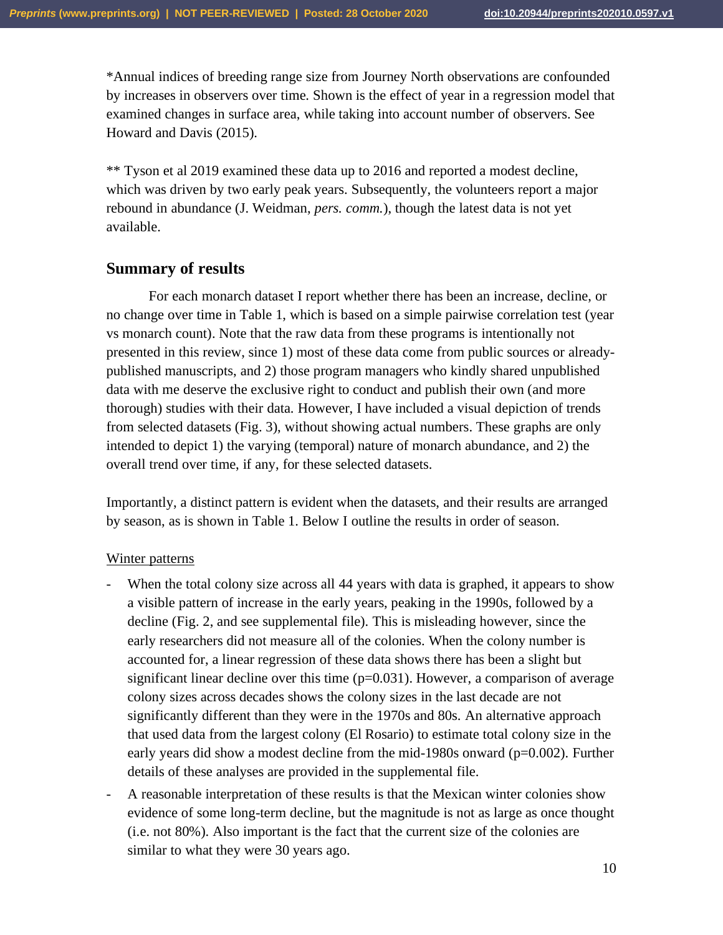\*Annual indices of breeding range size from Journey North observations are confounded by increases in observers over time. Shown is the effect of year in a regression model that examined changes in surface area, while taking into account number of observers. See Howard and Davis (2015).

\*\* Tyson et al 2019 examined these data up to 2016 and reported a modest decline, which was driven by two early peak years. Subsequently, the volunteers report a major rebound in abundance (J. Weidman, *pers. comm.*), though the latest data is not yet available.

# **Summary of results**

For each monarch dataset I report whether there has been an increase, decline, or no change over time in Table 1, which is based on a simple pairwise correlation test (year vs monarch count). Note that the raw data from these programs is intentionally not presented in this review, since 1) most of these data come from public sources or alreadypublished manuscripts, and 2) those program managers who kindly shared unpublished data with me deserve the exclusive right to conduct and publish their own (and more thorough) studies with their data. However, I have included a visual depiction of trends from selected datasets (Fig. 3), without showing actual numbers. These graphs are only intended to depict 1) the varying (temporal) nature of monarch abundance, and 2) the overall trend over time, if any, for these selected datasets.

Importantly, a distinct pattern is evident when the datasets, and their results are arranged by season, as is shown in Table 1. Below I outline the results in order of season.

# Winter patterns

- When the total colony size across all 44 years with data is graphed, it appears to show a visible pattern of increase in the early years, peaking in the 1990s, followed by a decline (Fig. 2, and see supplemental file). This is misleading however, since the early researchers did not measure all of the colonies. When the colony number is accounted for, a linear regression of these data shows there has been a slight but significant linear decline over this time  $(p=0.031)$ . However, a comparison of average colony sizes across decades shows the colony sizes in the last decade are not significantly different than they were in the 1970s and 80s. An alternative approach that used data from the largest colony (El Rosario) to estimate total colony size in the early years did show a modest decline from the mid-1980s onward (p=0.002). Further details of these analyses are provided in the supplemental file.
- A reasonable interpretation of these results is that the Mexican winter colonies show evidence of some long-term decline, but the magnitude is not as large as once thought (i.e. not 80%). Also important is the fact that the current size of the colonies are similar to what they were 30 years ago.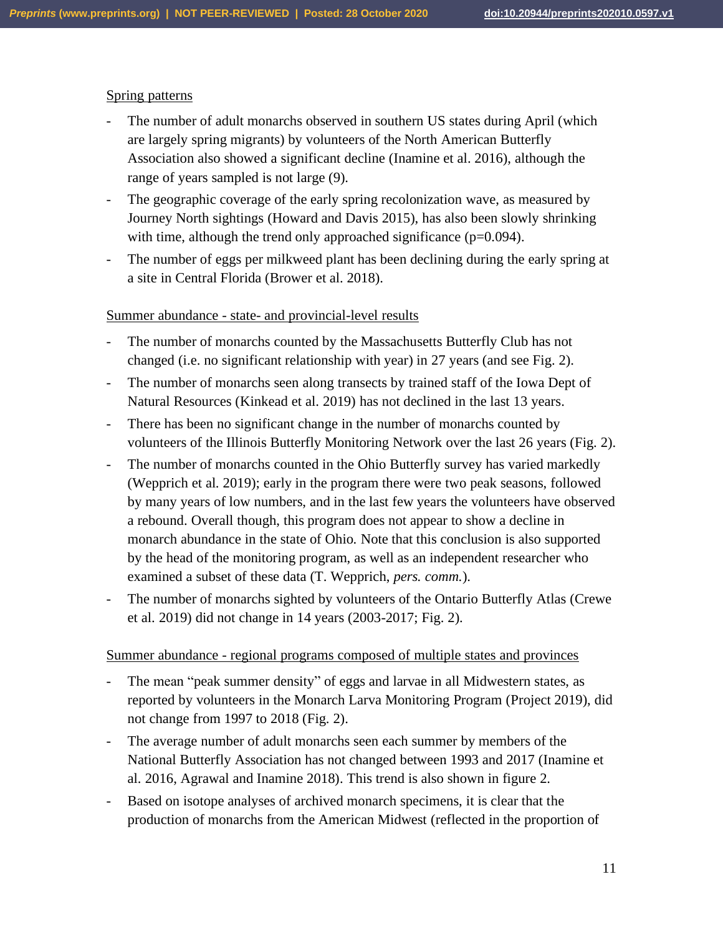## Spring patterns

- The number of adult monarchs observed in southern US states during April (which are largely spring migrants) by volunteers of the North American Butterfly Association also showed a significant decline (Inamine et al. 2016), although the range of years sampled is not large (9).
- The geographic coverage of the early spring recolonization wave, as measured by Journey North sightings (Howard and Davis 2015), has also been slowly shrinking with time, although the trend only approached significance (p=0.094).
- The number of eggs per milkweed plant has been declining during the early spring at a site in Central Florida (Brower et al. 2018).

### Summer abundance - state- and provincial-level results

- The number of monarchs counted by the Massachusetts Butterfly Club has not changed (i.e. no significant relationship with year) in 27 years (and see Fig. 2).
- The number of monarchs seen along transects by trained staff of the Iowa Dept of Natural Resources (Kinkead et al. 2019) has not declined in the last 13 years.
- There has been no significant change in the number of monarchs counted by volunteers of the Illinois Butterfly Monitoring Network over the last 26 years (Fig. 2).
- The number of monarchs counted in the Ohio Butterfly survey has varied markedly (Wepprich et al. 2019); early in the program there were two peak seasons, followed by many years of low numbers, and in the last few years the volunteers have observed a rebound. Overall though, this program does not appear to show a decline in monarch abundance in the state of Ohio. Note that this conclusion is also supported by the head of the monitoring program, as well as an independent researcher who examined a subset of these data (T. Wepprich, *pers. comm.*).
- The number of monarchs sighted by volunteers of the Ontario Butterfly Atlas (Crewe et al. 2019) did not change in 14 years (2003-2017; Fig. 2).

#### Summer abundance - regional programs composed of multiple states and provinces

- The mean "peak summer density" of eggs and larvae in all Midwestern states, as reported by volunteers in the Monarch Larva Monitoring Program (Project 2019), did not change from 1997 to 2018 (Fig. 2).
- The average number of adult monarchs seen each summer by members of the National Butterfly Association has not changed between 1993 and 2017 (Inamine et al. 2016, Agrawal and Inamine 2018). This trend is also shown in figure 2.
- Based on isotope analyses of archived monarch specimens, it is clear that the production of monarchs from the American Midwest (reflected in the proportion of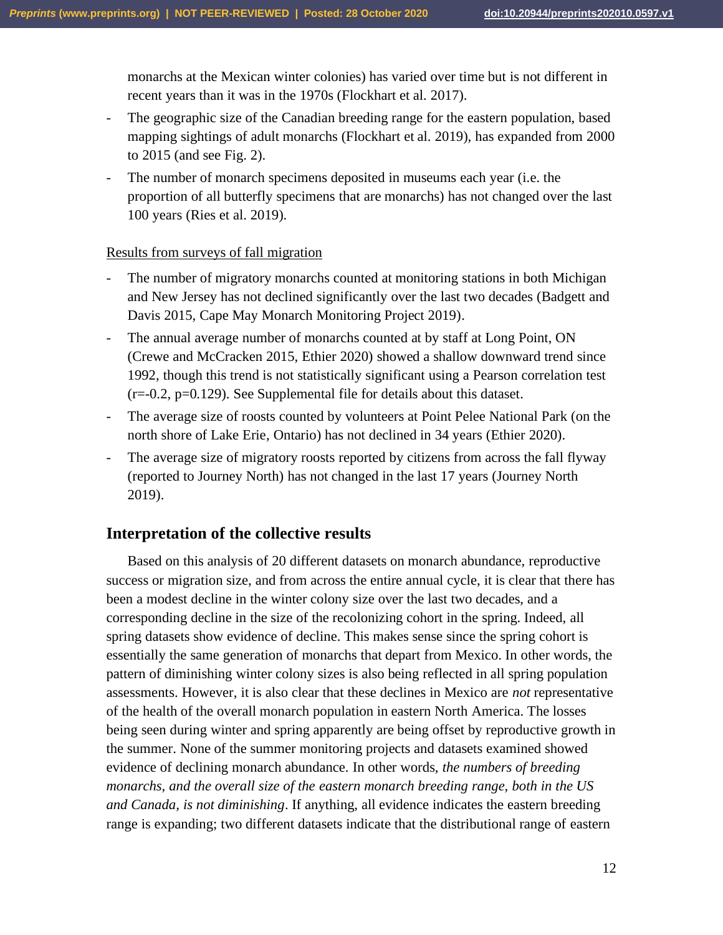monarchs at the Mexican winter colonies) has varied over time but is not different in recent years than it was in the 1970s (Flockhart et al. 2017).

- The geographic size of the Canadian breeding range for the eastern population, based mapping sightings of adult monarchs (Flockhart et al. 2019), has expanded from 2000 to 2015 (and see Fig. 2).
- The number of monarch specimens deposited in museums each year (i.e. the proportion of all butterfly specimens that are monarchs) has not changed over the last 100 years (Ries et al. 2019).

### Results from surveys of fall migration

- The number of migratory monarchs counted at monitoring stations in both Michigan and New Jersey has not declined significantly over the last two decades (Badgett and Davis 2015, Cape May Monarch Monitoring Project 2019).
- The annual average number of monarchs counted at by staff at Long Point, ON (Crewe and McCracken 2015, Ethier 2020) showed a shallow downward trend since 1992, though this trend is not statistically significant using a Pearson correlation test (r=-0.2, p=0.129). See Supplemental file for details about this dataset.
- The average size of roosts counted by volunteers at Point Pelee National Park (on the north shore of Lake Erie, Ontario) has not declined in 34 years (Ethier 2020).
- The average size of migratory roosts reported by citizens from across the fall flyway (reported to Journey North) has not changed in the last 17 years (Journey North 2019).

# **Interpretation of the collective results**

Based on this analysis of 20 different datasets on monarch abundance, reproductive success or migration size, and from across the entire annual cycle, it is clear that there has been a modest decline in the winter colony size over the last two decades, and a corresponding decline in the size of the recolonizing cohort in the spring. Indeed, all spring datasets show evidence of decline. This makes sense since the spring cohort is essentially the same generation of monarchs that depart from Mexico. In other words, the pattern of diminishing winter colony sizes is also being reflected in all spring population assessments. However, it is also clear that these declines in Mexico are *not* representative of the health of the overall monarch population in eastern North America. The losses being seen during winter and spring apparently are being offset by reproductive growth in the summer. None of the summer monitoring projects and datasets examined showed evidence of declining monarch abundance. In other words, *the numbers of breeding monarchs, and the overall size of the eastern monarch breeding range, both in the US and Canada, is not diminishing*. If anything, all evidence indicates the eastern breeding range is expanding; two different datasets indicate that the distributional range of eastern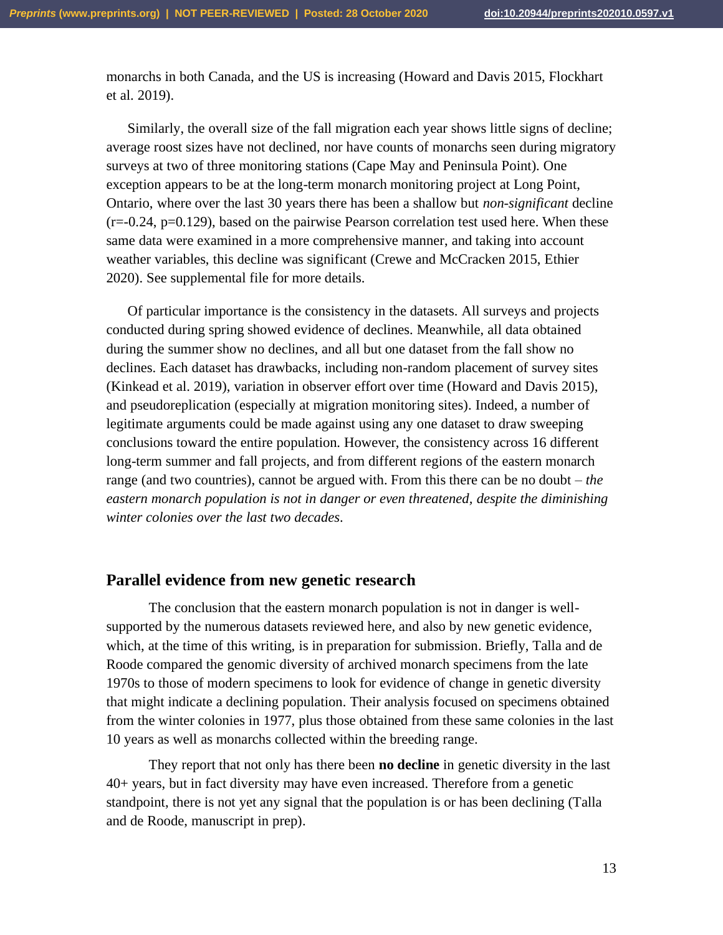monarchs in both Canada, and the US is increasing (Howard and Davis 2015, Flockhart et al. 2019).

Similarly, the overall size of the fall migration each year shows little signs of decline; average roost sizes have not declined, nor have counts of monarchs seen during migratory surveys at two of three monitoring stations (Cape May and Peninsula Point). One exception appears to be at the long-term monarch monitoring project at Long Point, Ontario, where over the last 30 years there has been a shallow but *non-significant* decline  $(r=-0.24, p=0.129)$ , based on the pairwise Pearson correlation test used here. When these same data were examined in a more comprehensive manner, and taking into account weather variables, this decline was significant (Crewe and McCracken 2015, Ethier 2020). See supplemental file for more details.

Of particular importance is the consistency in the datasets. All surveys and projects conducted during spring showed evidence of declines. Meanwhile, all data obtained during the summer show no declines, and all but one dataset from the fall show no declines. Each dataset has drawbacks, including non-random placement of survey sites (Kinkead et al. 2019), variation in observer effort over time (Howard and Davis 2015), and pseudoreplication (especially at migration monitoring sites). Indeed, a number of legitimate arguments could be made against using any one dataset to draw sweeping conclusions toward the entire population. However, the consistency across 16 different long-term summer and fall projects, and from different regions of the eastern monarch range (and two countries), cannot be argued with. From this there can be no doubt – *the eastern monarch population is not in danger or even threatened, despite the diminishing winter colonies over the last two decades*.

# **Parallel evidence from new genetic research**

The conclusion that the eastern monarch population is not in danger is wellsupported by the numerous datasets reviewed here, and also by new genetic evidence, which, at the time of this writing, is in preparation for submission. Briefly, Talla and de Roode compared the genomic diversity of archived monarch specimens from the late 1970s to those of modern specimens to look for evidence of change in genetic diversity that might indicate a declining population. Their analysis focused on specimens obtained from the winter colonies in 1977, plus those obtained from these same colonies in the last 10 years as well as monarchs collected within the breeding range.

They report that not only has there been **no decline** in genetic diversity in the last 40+ years, but in fact diversity may have even increased. Therefore from a genetic standpoint, there is not yet any signal that the population is or has been declining (Talla and de Roode, manuscript in prep).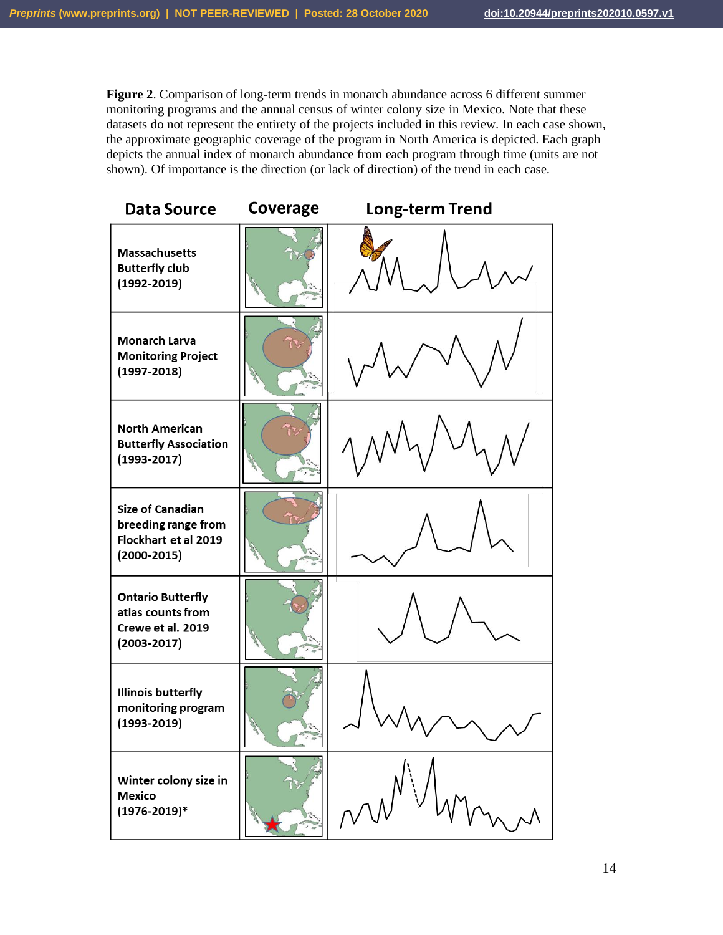**Figure 2**. Comparison of long-term trends in monarch abundance across 6 different summer monitoring programs and the annual census of winter colony size in Mexico. Note that these datasets do not represent the entirety of the projects included in this review. In each case shown, the approximate geographic coverage of the program in North America is depicted. Each graph depicts the annual index of monarch abundance from each program through time (units are not shown). Of importance is the direction (or lack of direction) of the trend in each case.

| <b>Data Source</b>                                                                      | Coverage | <b>Long-term Trend</b> |  |  |
|-----------------------------------------------------------------------------------------|----------|------------------------|--|--|
| <b>Massachusetts</b><br><b>Butterfly club</b><br>$(1992 - 2019)$                        |          |                        |  |  |
| Monarch Larva<br><b>Monitoring Project</b><br>$(1997 - 2018)$                           |          |                        |  |  |
| <b>North American</b><br><b>Butterfly Association</b><br>$(1993 - 2017)$                |          |                        |  |  |
| <b>Size of Canadian</b><br>breeding range from<br>Flockhart et al 2019<br>$(2000-2015)$ |          |                        |  |  |
| <b>Ontario Butterfly</b><br>atlas counts from<br>Crewe et al. 2019<br>$(2003 - 2017)$   |          |                        |  |  |
| <b>Illinois butterfly</b><br>monitoring program<br>$(1993 - 2019)$                      |          |                        |  |  |
| Winter colony size in<br><b>Mexico</b><br>$(1976 - 2019)^*$                             |          |                        |  |  |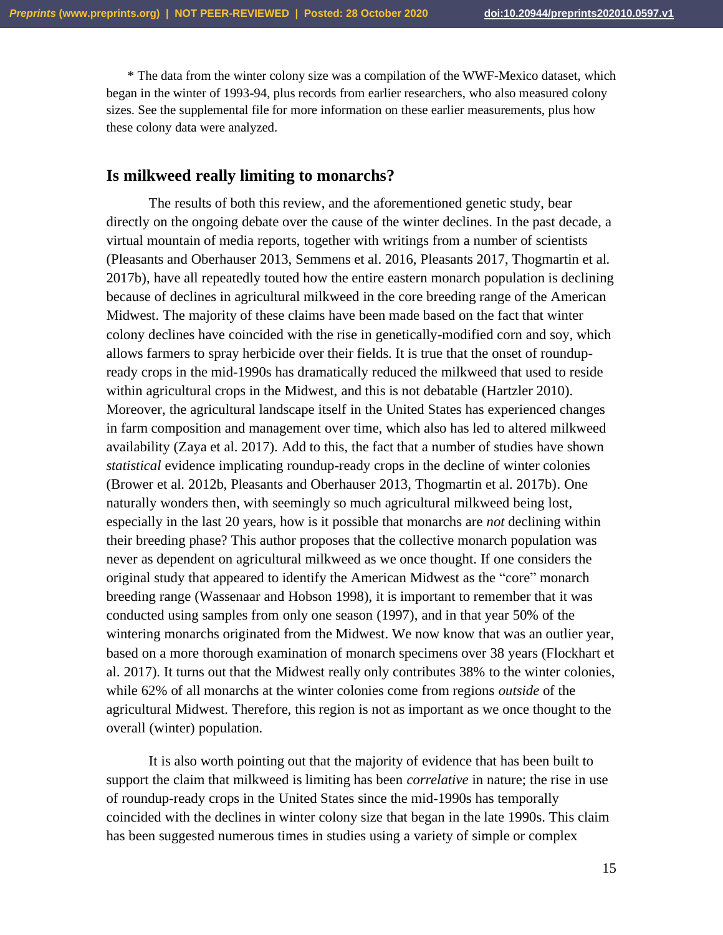\* The data from the winter colony size was a compilation of the WWF-Mexico dataset, which began in the winter of 1993-94, plus records from earlier researchers, who also measured colony sizes. See the supplemental file for more information on these earlier measurements, plus how these colony data were analyzed.

## **Is milkweed really limiting to monarchs?**

The results of both this review, and the aforementioned genetic study, bear directly on the ongoing debate over the cause of the winter declines. In the past decade, a virtual mountain of media reports, together with writings from a number of scientists (Pleasants and Oberhauser 2013, Semmens et al. 2016, Pleasants 2017, Thogmartin et al. 2017b), have all repeatedly touted how the entire eastern monarch population is declining because of declines in agricultural milkweed in the core breeding range of the American Midwest. The majority of these claims have been made based on the fact that winter colony declines have coincided with the rise in genetically-modified corn and soy, which allows farmers to spray herbicide over their fields. It is true that the onset of roundupready crops in the mid-1990s has dramatically reduced the milkweed that used to reside within agricultural crops in the Midwest, and this is not debatable (Hartzler 2010). Moreover, the agricultural landscape itself in the United States has experienced changes in farm composition and management over time, which also has led to altered milkweed availability (Zaya et al. 2017). Add to this, the fact that a number of studies have shown *statistical* evidence implicating roundup-ready crops in the decline of winter colonies (Brower et al. 2012b, Pleasants and Oberhauser 2013, Thogmartin et al. 2017b). One naturally wonders then, with seemingly so much agricultural milkweed being lost, especially in the last 20 years, how is it possible that monarchs are *not* declining within their breeding phase? This author proposes that the collective monarch population was never as dependent on agricultural milkweed as we once thought. If one considers the original study that appeared to identify the American Midwest as the "core" monarch breeding range (Wassenaar and Hobson 1998), it is important to remember that it was conducted using samples from only one season (1997), and in that year 50% of the wintering monarchs originated from the Midwest. We now know that was an outlier year, based on a more thorough examination of monarch specimens over 38 years (Flockhart et al. 2017). It turns out that the Midwest really only contributes 38% to the winter colonies, while 62% of all monarchs at the winter colonies come from regions *outside* of the agricultural Midwest. Therefore, this region is not as important as we once thought to the overall (winter) population.

It is also worth pointing out that the majority of evidence that has been built to support the claim that milkweed is limiting has been *correlative* in nature; the rise in use of roundup-ready crops in the United States since the mid-1990s has temporally coincided with the declines in winter colony size that began in the late 1990s. This claim has been suggested numerous times in studies using a variety of simple or complex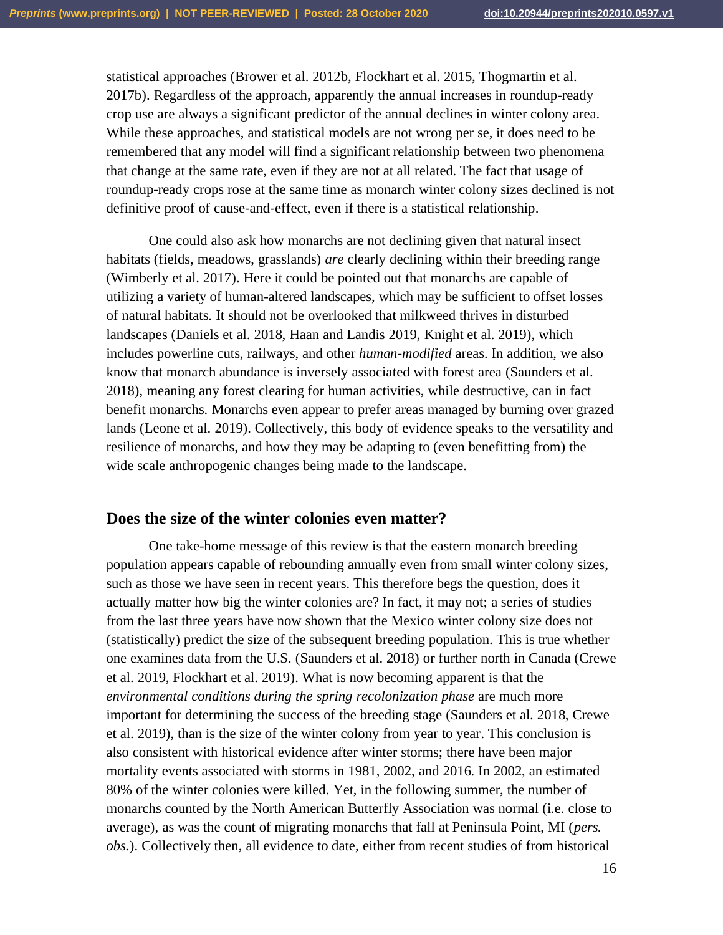statistical approaches (Brower et al. 2012b, Flockhart et al. 2015, Thogmartin et al. 2017b). Regardless of the approach, apparently the annual increases in roundup-ready crop use are always a significant predictor of the annual declines in winter colony area. While these approaches, and statistical models are not wrong per se, it does need to be remembered that any model will find a significant relationship between two phenomena that change at the same rate, even if they are not at all related. The fact that usage of roundup-ready crops rose at the same time as monarch winter colony sizes declined is not definitive proof of cause-and-effect, even if there is a statistical relationship.

One could also ask how monarchs are not declining given that natural insect habitats (fields, meadows, grasslands) *are* clearly declining within their breeding range (Wimberly et al. 2017). Here it could be pointed out that monarchs are capable of utilizing a variety of human-altered landscapes, which may be sufficient to offset losses of natural habitats. It should not be overlooked that milkweed thrives in disturbed landscapes (Daniels et al. 2018, Haan and Landis 2019, Knight et al. 2019), which includes powerline cuts, railways, and other *human-modified* areas. In addition, we also know that monarch abundance is inversely associated with forest area (Saunders et al. 2018), meaning any forest clearing for human activities, while destructive, can in fact benefit monarchs. Monarchs even appear to prefer areas managed by burning over grazed lands (Leone et al. 2019). Collectively, this body of evidence speaks to the versatility and resilience of monarchs, and how they may be adapting to (even benefitting from) the wide scale anthropogenic changes being made to the landscape.

#### **Does the size of the winter colonies even matter?**

One take-home message of this review is that the eastern monarch breeding population appears capable of rebounding annually even from small winter colony sizes, such as those we have seen in recent years. This therefore begs the question, does it actually matter how big the winter colonies are? In fact, it may not; a series of studies from the last three years have now shown that the Mexico winter colony size does not (statistically) predict the size of the subsequent breeding population. This is true whether one examines data from the U.S. (Saunders et al. 2018) or further north in Canada (Crewe et al. 2019, Flockhart et al. 2019). What is now becoming apparent is that the *environmental conditions during the spring recolonization phase* are much more important for determining the success of the breeding stage (Saunders et al. 2018, Crewe et al. 2019), than is the size of the winter colony from year to year. This conclusion is also consistent with historical evidence after winter storms; there have been major mortality events associated with storms in 1981, 2002, and 2016. In 2002, an estimated 80% of the winter colonies were killed. Yet, in the following summer, the number of monarchs counted by the North American Butterfly Association was normal (i.e. close to average), as was the count of migrating monarchs that fall at Peninsula Point, MI (*pers. obs.*). Collectively then, all evidence to date, either from recent studies of from historical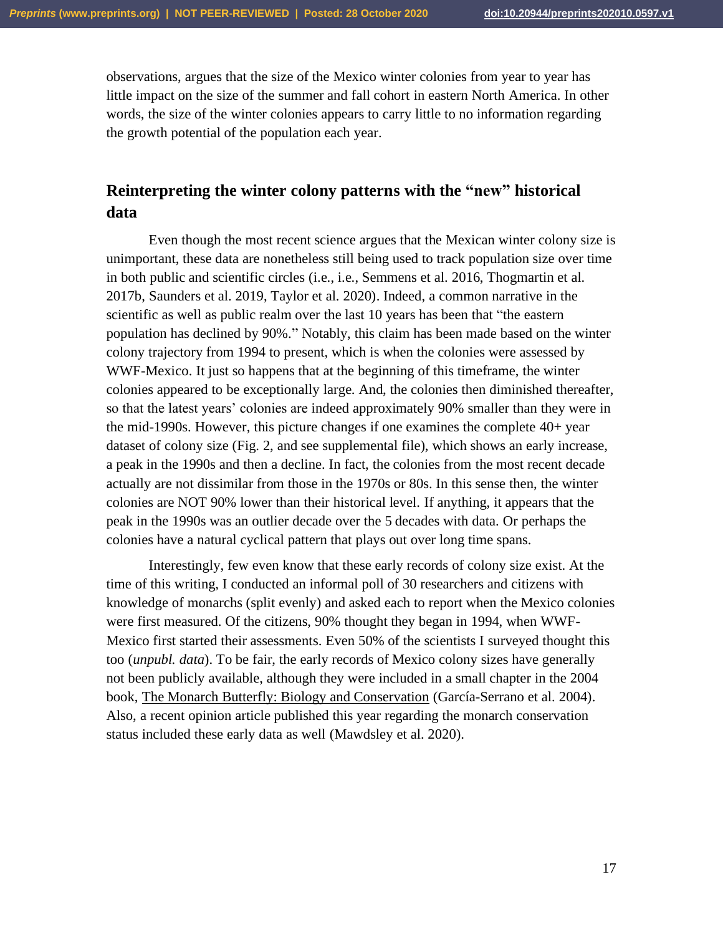observations, argues that the size of the Mexico winter colonies from year to year has little impact on the size of the summer and fall cohort in eastern North America. In other words, the size of the winter colonies appears to carry little to no information regarding the growth potential of the population each year.

# **Reinterpreting the winter colony patterns with the "new" historical data**

Even though the most recent science argues that the Mexican winter colony size is unimportant, these data are nonetheless still being used to track population size over time in both public and scientific circles (i.e., i.e., Semmens et al. 2016, Thogmartin et al. 2017b, Saunders et al. 2019, Taylor et al. 2020). Indeed, a common narrative in the scientific as well as public realm over the last 10 years has been that "the eastern population has declined by 90%." Notably, this claim has been made based on the winter colony trajectory from 1994 to present, which is when the colonies were assessed by WWF-Mexico. It just so happens that at the beginning of this timeframe, the winter colonies appeared to be exceptionally large. And, the colonies then diminished thereafter, so that the latest years' colonies are indeed approximately 90% smaller than they were in the mid-1990s. However, this picture changes if one examines the complete 40+ year dataset of colony size (Fig. 2, and see supplemental file), which shows an early increase, a peak in the 1990s and then a decline. In fact, the colonies from the most recent decade actually are not dissimilar from those in the 1970s or 80s. In this sense then, the winter colonies are NOT 90% lower than their historical level. If anything, it appears that the peak in the 1990s was an outlier decade over the 5 decades with data. Or perhaps the colonies have a natural cyclical pattern that plays out over long time spans.

Interestingly, few even know that these early records of colony size exist. At the time of this writing, I conducted an informal poll of 30 researchers and citizens with knowledge of monarchs (split evenly) and asked each to report when the Mexico colonies were first measured. Of the citizens, 90% thought they began in 1994, when WWF-Mexico first started their assessments. Even 50% of the scientists I surveyed thought this too (*unpubl. data*). To be fair, the early records of Mexico colony sizes have generally not been publicly available, although they were included in a small chapter in the 2004 book, The Monarch Butterfly: Biology and Conservation (García-Serrano et al. 2004). Also, a recent opinion article published this year regarding the monarch conservation status included these early data as well (Mawdsley et al. 2020).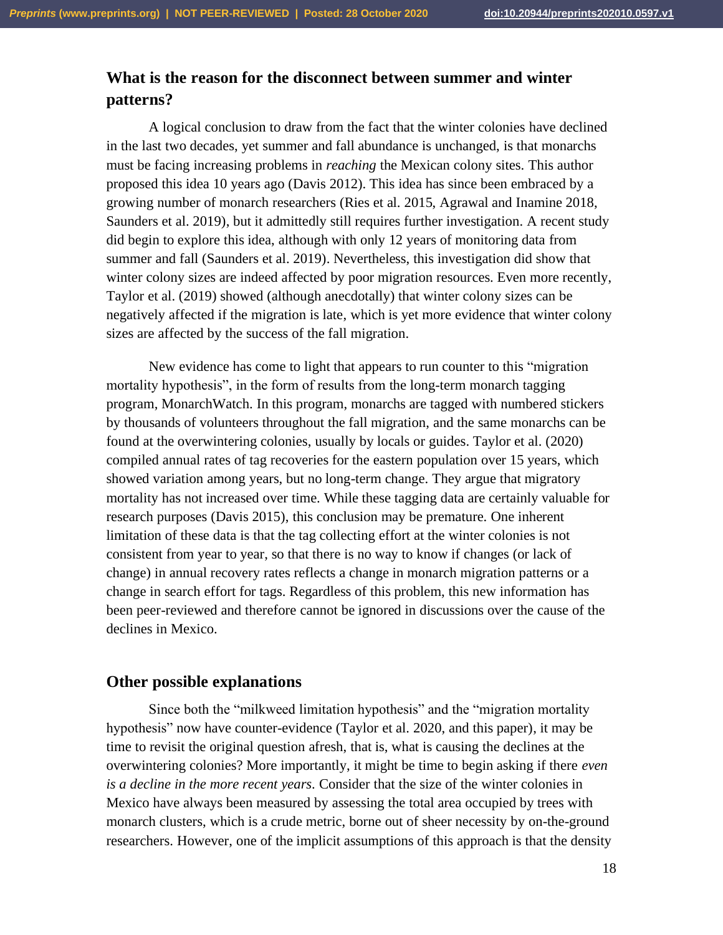# **What is the reason for the disconnect between summer and winter patterns?**

A logical conclusion to draw from the fact that the winter colonies have declined in the last two decades, yet summer and fall abundance is unchanged, is that monarchs must be facing increasing problems in *reaching* the Mexican colony sites. This author proposed this idea 10 years ago (Davis 2012). This idea has since been embraced by a growing number of monarch researchers (Ries et al. 2015, Agrawal and Inamine 2018, Saunders et al. 2019), but it admittedly still requires further investigation. A recent study did begin to explore this idea, although with only 12 years of monitoring data from summer and fall (Saunders et al. 2019). Nevertheless, this investigation did show that winter colony sizes are indeed affected by poor migration resources. Even more recently, Taylor et al. (2019) showed (although anecdotally) that winter colony sizes can be negatively affected if the migration is late, which is yet more evidence that winter colony sizes are affected by the success of the fall migration.

New evidence has come to light that appears to run counter to this "migration mortality hypothesis", in the form of results from the long-term monarch tagging program, MonarchWatch. In this program, monarchs are tagged with numbered stickers by thousands of volunteers throughout the fall migration, and the same monarchs can be found at the overwintering colonies, usually by locals or guides. Taylor et al. (2020) compiled annual rates of tag recoveries for the eastern population over 15 years, which showed variation among years, but no long-term change. They argue that migratory mortality has not increased over time. While these tagging data are certainly valuable for research purposes (Davis 2015), this conclusion may be premature. One inherent limitation of these data is that the tag collecting effort at the winter colonies is not consistent from year to year, so that there is no way to know if changes (or lack of change) in annual recovery rates reflects a change in monarch migration patterns or a change in search effort for tags. Regardless of this problem, this new information has been peer-reviewed and therefore cannot be ignored in discussions over the cause of the declines in Mexico.

# **Other possible explanations**

Since both the "milkweed limitation hypothesis" and the "migration mortality hypothesis" now have counter-evidence (Taylor et al. 2020, and this paper), it may be time to revisit the original question afresh, that is, what is causing the declines at the overwintering colonies? More importantly, it might be time to begin asking if there *even is a decline in the more recent years*. Consider that the size of the winter colonies in Mexico have always been measured by assessing the total area occupied by trees with monarch clusters, which is a crude metric, borne out of sheer necessity by on-the-ground researchers. However, one of the implicit assumptions of this approach is that the density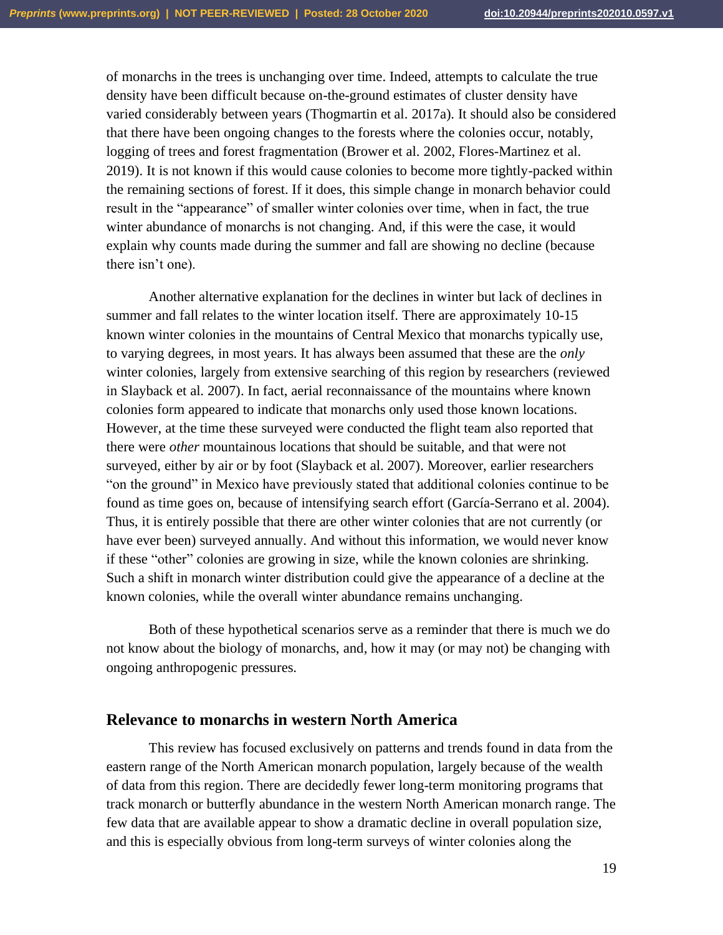of monarchs in the trees is unchanging over time. Indeed, attempts to calculate the true density have been difficult because on-the-ground estimates of cluster density have varied considerably between years (Thogmartin et al. 2017a). It should also be considered that there have been ongoing changes to the forests where the colonies occur, notably, logging of trees and forest fragmentation (Brower et al. 2002, Flores-Martinez et al. 2019). It is not known if this would cause colonies to become more tightly-packed within the remaining sections of forest. If it does, this simple change in monarch behavior could result in the "appearance" of smaller winter colonies over time, when in fact, the true winter abundance of monarchs is not changing. And, if this were the case, it would explain why counts made during the summer and fall are showing no decline (because there isn't one).

Another alternative explanation for the declines in winter but lack of declines in summer and fall relates to the winter location itself. There are approximately 10-15 known winter colonies in the mountains of Central Mexico that monarchs typically use, to varying degrees, in most years. It has always been assumed that these are the *only* winter colonies, largely from extensive searching of this region by researchers (reviewed in Slayback et al. 2007). In fact, aerial reconnaissance of the mountains where known colonies form appeared to indicate that monarchs only used those known locations. However, at the time these surveyed were conducted the flight team also reported that there were *other* mountainous locations that should be suitable, and that were not surveyed, either by air or by foot (Slayback et al. 2007). Moreover, earlier researchers "on the ground" in Mexico have previously stated that additional colonies continue to be found as time goes on, because of intensifying search effort (García-Serrano et al. 2004). Thus, it is entirely possible that there are other winter colonies that are not currently (or have ever been) surveyed annually. And without this information, we would never know if these "other" colonies are growing in size, while the known colonies are shrinking. Such a shift in monarch winter distribution could give the appearance of a decline at the known colonies, while the overall winter abundance remains unchanging.

Both of these hypothetical scenarios serve as a reminder that there is much we do not know about the biology of monarchs, and, how it may (or may not) be changing with ongoing anthropogenic pressures.

### **Relevance to monarchs in western North America**

This review has focused exclusively on patterns and trends found in data from the eastern range of the North American monarch population, largely because of the wealth of data from this region. There are decidedly fewer long-term monitoring programs that track monarch or butterfly abundance in the western North American monarch range. The few data that are available appear to show a dramatic decline in overall population size, and this is especially obvious from long-term surveys of winter colonies along the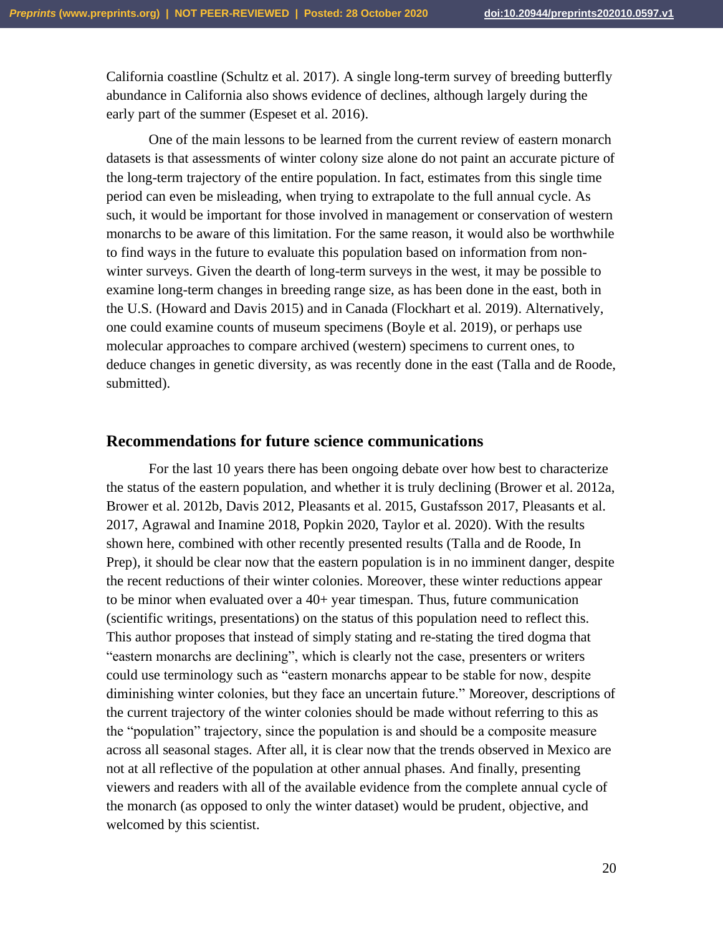California coastline (Schultz et al. 2017). A single long-term survey of breeding butterfly abundance in California also shows evidence of declines, although largely during the early part of the summer (Espeset et al. 2016).

One of the main lessons to be learned from the current review of eastern monarch datasets is that assessments of winter colony size alone do not paint an accurate picture of the long-term trajectory of the entire population. In fact, estimates from this single time period can even be misleading, when trying to extrapolate to the full annual cycle. As such, it would be important for those involved in management or conservation of western monarchs to be aware of this limitation. For the same reason, it would also be worthwhile to find ways in the future to evaluate this population based on information from nonwinter surveys. Given the dearth of long-term surveys in the west, it may be possible to examine long-term changes in breeding range size, as has been done in the east, both in the U.S. (Howard and Davis 2015) and in Canada (Flockhart et al. 2019). Alternatively, one could examine counts of museum specimens (Boyle et al. 2019), or perhaps use molecular approaches to compare archived (western) specimens to current ones, to deduce changes in genetic diversity, as was recently done in the east (Talla and de Roode, submitted).

#### **Recommendations for future science communications**

For the last 10 years there has been ongoing debate over how best to characterize the status of the eastern population, and whether it is truly declining (Brower et al. 2012a, Brower et al. 2012b, Davis 2012, Pleasants et al. 2015, Gustafsson 2017, Pleasants et al. 2017, Agrawal and Inamine 2018, Popkin 2020, Taylor et al. 2020). With the results shown here, combined with other recently presented results (Talla and de Roode, In Prep), it should be clear now that the eastern population is in no imminent danger, despite the recent reductions of their winter colonies. Moreover, these winter reductions appear to be minor when evaluated over a 40+ year timespan. Thus, future communication (scientific writings, presentations) on the status of this population need to reflect this. This author proposes that instead of simply stating and re-stating the tired dogma that "eastern monarchs are declining", which is clearly not the case, presenters or writers could use terminology such as "eastern monarchs appear to be stable for now, despite diminishing winter colonies, but they face an uncertain future." Moreover, descriptions of the current trajectory of the winter colonies should be made without referring to this as the "population" trajectory, since the population is and should be a composite measure across all seasonal stages. After all, it is clear now that the trends observed in Mexico are not at all reflective of the population at other annual phases. And finally, presenting viewers and readers with all of the available evidence from the complete annual cycle of the monarch (as opposed to only the winter dataset) would be prudent, objective, and welcomed by this scientist.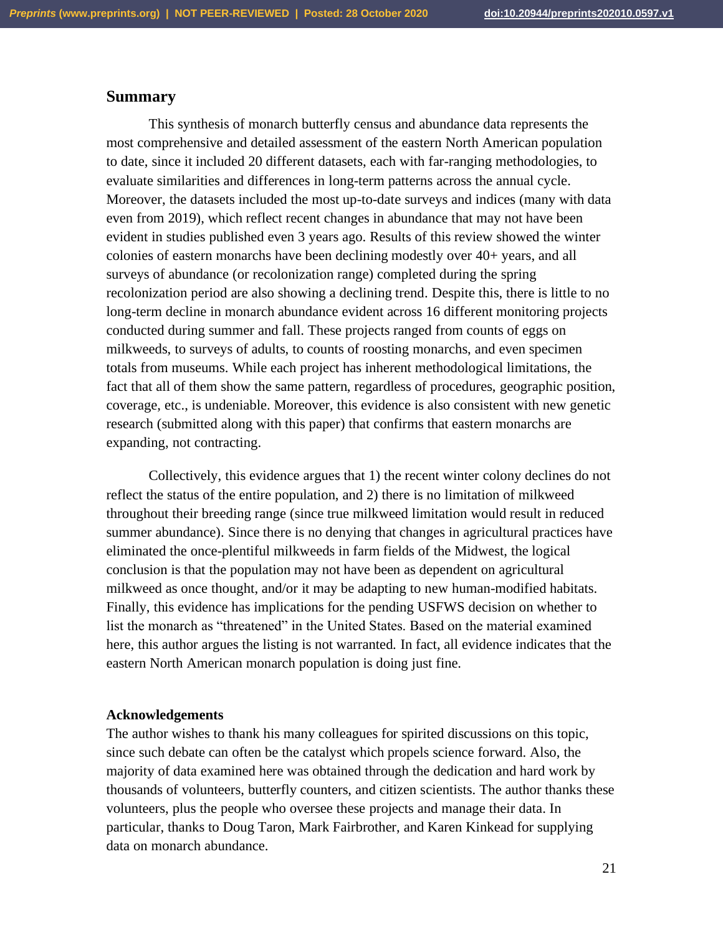## **Summary**

This synthesis of monarch butterfly census and abundance data represents the most comprehensive and detailed assessment of the eastern North American population to date, since it included 20 different datasets, each with far-ranging methodologies, to evaluate similarities and differences in long-term patterns across the annual cycle. Moreover, the datasets included the most up-to-date surveys and indices (many with data even from 2019), which reflect recent changes in abundance that may not have been evident in studies published even 3 years ago. Results of this review showed the winter colonies of eastern monarchs have been declining modestly over 40+ years, and all surveys of abundance (or recolonization range) completed during the spring recolonization period are also showing a declining trend. Despite this, there is little to no long-term decline in monarch abundance evident across 16 different monitoring projects conducted during summer and fall. These projects ranged from counts of eggs on milkweeds, to surveys of adults, to counts of roosting monarchs, and even specimen totals from museums. While each project has inherent methodological limitations, the fact that all of them show the same pattern, regardless of procedures, geographic position, coverage, etc., is undeniable. Moreover, this evidence is also consistent with new genetic research (submitted along with this paper) that confirms that eastern monarchs are expanding, not contracting.

Collectively, this evidence argues that 1) the recent winter colony declines do not reflect the status of the entire population, and 2) there is no limitation of milkweed throughout their breeding range (since true milkweed limitation would result in reduced summer abundance). Since there is no denying that changes in agricultural practices have eliminated the once-plentiful milkweeds in farm fields of the Midwest, the logical conclusion is that the population may not have been as dependent on agricultural milkweed as once thought, and/or it may be adapting to new human-modified habitats. Finally, this evidence has implications for the pending USFWS decision on whether to list the monarch as "threatened" in the United States. Based on the material examined here, this author argues the listing is not warranted. In fact, all evidence indicates that the eastern North American monarch population is doing just fine.

#### **Acknowledgements**

The author wishes to thank his many colleagues for spirited discussions on this topic, since such debate can often be the catalyst which propels science forward. Also, the majority of data examined here was obtained through the dedication and hard work by thousands of volunteers, butterfly counters, and citizen scientists. The author thanks these volunteers, plus the people who oversee these projects and manage their data. In particular, thanks to Doug Taron, Mark Fairbrother, and Karen Kinkead for supplying data on monarch abundance.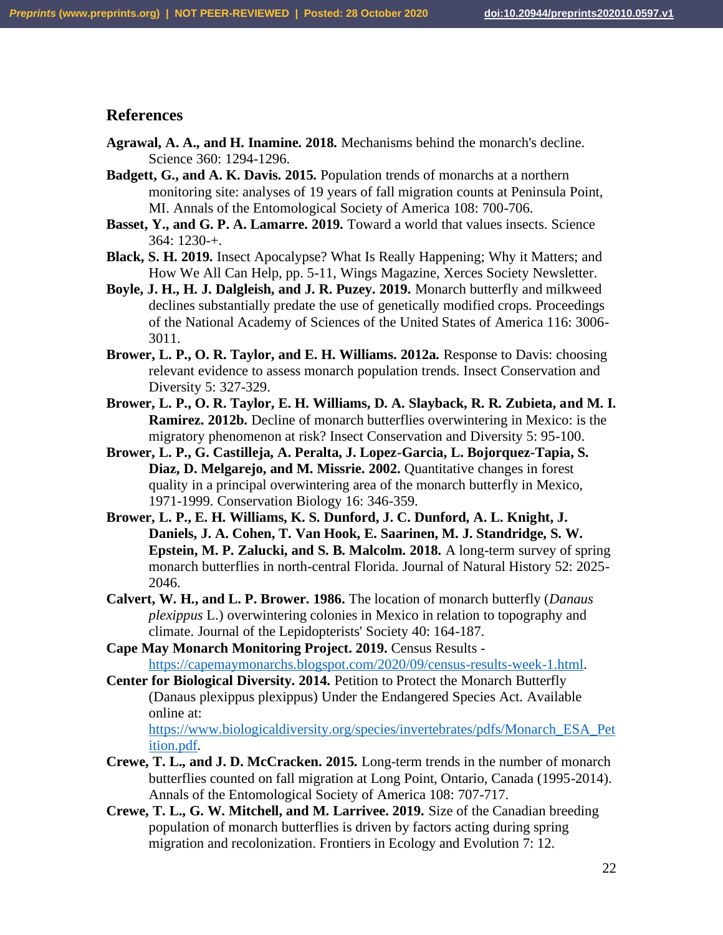# **References**

- **Agrawal, A. A., and H. Inamine. 2018.** Mechanisms behind the monarch's decline. Science 360: 1294-1296.
- **Badgett, G., and A. K. Davis. 2015.** Population trends of monarchs at a northern monitoring site: analyses of 19 years of fall migration counts at Peninsula Point, MI. Annals of the Entomological Society of America 108: 700-706.
- **Basset, Y., and G. P. A. Lamarre. 2019.** Toward a world that values insects. Science 364: 1230-+.
- **Black, S. H. 2019.** Insect Apocalypse? What Is Really Happening; Why it Matters; and How We All Can Help, pp. 5-11, Wings Magazine, Xerces Society Newsletter.
- **Boyle, J. H., H. J. Dalgleish, and J. R. Puzey. 2019.** Monarch butterfly and milkweed declines substantially predate the use of genetically modified crops. Proceedings of the National Academy of Sciences of the United States of America 116: 3006- 3011.
- **Brower, L. P., O. R. Taylor, and E. H. Williams. 2012a.** Response to Davis: choosing relevant evidence to assess monarch population trends. Insect Conservation and Diversity 5: 327-329.
- **Brower, L. P., O. R. Taylor, E. H. Williams, D. A. Slayback, R. R. Zubieta, and M. I. Ramirez. 2012b.** Decline of monarch butterflies overwintering in Mexico: is the migratory phenomenon at risk? Insect Conservation and Diversity 5: 95-100.
- **Brower, L. P., G. Castilleja, A. Peralta, J. Lopez-Garcia, L. Bojorquez-Tapia, S. Diaz, D. Melgarejo, and M. Missrie. 2002.** Quantitative changes in forest quality in a principal overwintering area of the monarch butterfly in Mexico, 1971-1999. Conservation Biology 16: 346-359.
- **Brower, L. P., E. H. Williams, K. S. Dunford, J. C. Dunford, A. L. Knight, J. Daniels, J. A. Cohen, T. Van Hook, E. Saarinen, M. J. Standridge, S. W. Epstein, M. P. Zalucki, and S. B. Malcolm. 2018.** A long-term survey of spring monarch butterflies in north-central Florida. Journal of Natural History 52: 2025- 2046.
- **Calvert, W. H., and L. P. Brower. 1986.** The location of monarch butterfly (*Danaus plexippus* L.) overwintering colonies in Mexico in relation to topography and climate. Journal of the Lepidopterists' Society 40: 164-187.
- **Cape May Monarch Monitoring Project. 2019.** Census Results [https://capemaymonarchs.blogspot.com/2020/09/census-results-week-1.html.](https://capemaymonarchs.blogspot.com/2020/09/census-results-week-1.html)
- **Center for Biological Diversity. 2014.** Petition to Protect the Monarch Butterfly (Danaus plexippus plexippus) Under the Endangered Species Act. Available online at:

[https://www.biologicaldiversity.org/species/invertebrates/pdfs/Monarch\\_ESA\\_Pet](https://www.biologicaldiversity.org/species/invertebrates/pdfs/Monarch_ESA_Petition.pdf) [ition.pdf.](https://www.biologicaldiversity.org/species/invertebrates/pdfs/Monarch_ESA_Petition.pdf)

- **Crewe, T. L., and J. D. McCracken. 2015.** Long-term trends in the number of monarch butterflies counted on fall migration at Long Point, Ontario, Canada (1995-2014). Annals of the Entomological Society of America 108: 707-717.
- **Crewe, T. L., G. W. Mitchell, and M. Larrivee. 2019.** Size of the Canadian breeding population of monarch butterflies is driven by factors acting during spring migration and recolonization. Frontiers in Ecology and Evolution 7: 12.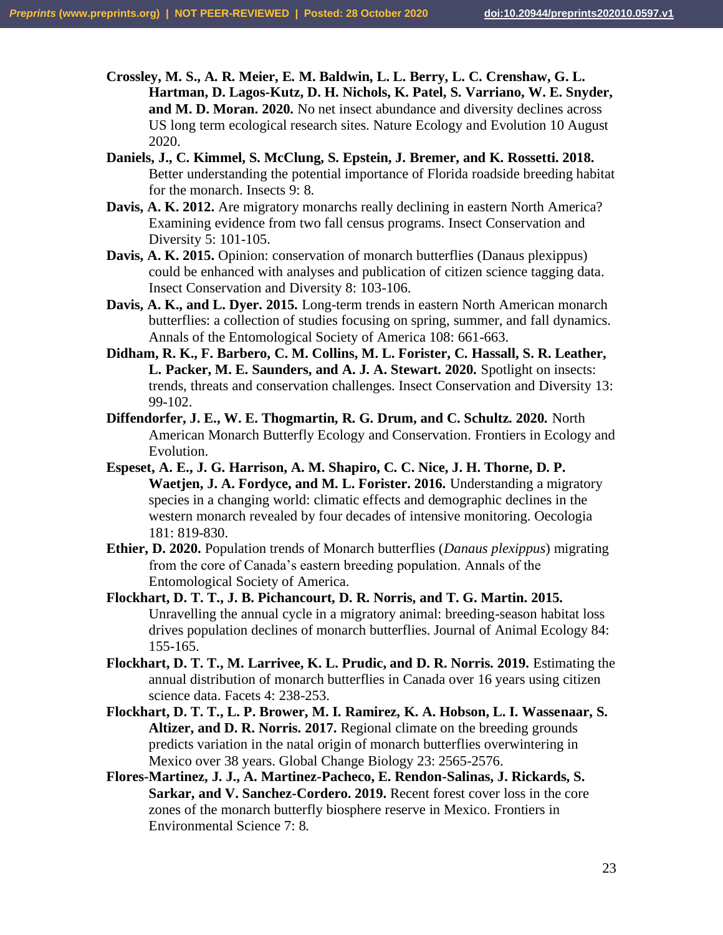- **Crossley, M. S., A. R. Meier, E. M. Baldwin, L. L. Berry, L. C. Crenshaw, G. L. Hartman, D. Lagos-Kutz, D. H. Nichols, K. Patel, S. Varriano, W. E. Snyder, and M. D. Moran. 2020.** No net insect abundance and diversity declines across US long term ecological research sites. Nature Ecology and Evolution 10 August 2020.
- **Daniels, J., C. Kimmel, S. McClung, S. Epstein, J. Bremer, and K. Rossetti. 2018.** Better understanding the potential importance of Florida roadside breeding habitat for the monarch. Insects 9: 8.
- **Davis, A. K. 2012.** Are migratory monarchs really declining in eastern North America? Examining evidence from two fall census programs. Insect Conservation and Diversity 5: 101-105.
- **Davis, A. K. 2015.** Opinion: conservation of monarch butterflies (Danaus plexippus) could be enhanced with analyses and publication of citizen science tagging data. Insect Conservation and Diversity 8: 103-106.
- **Davis, A. K., and L. Dyer. 2015.** Long-term trends in eastern North American monarch butterflies: a collection of studies focusing on spring, summer, and fall dynamics. Annals of the Entomological Society of America 108: 661-663.
- **Didham, R. K., F. Barbero, C. M. Collins, M. L. Forister, C. Hassall, S. R. Leather, L. Packer, M. E. Saunders, and A. J. A. Stewart. 2020.** Spotlight on insects: trends, threats and conservation challenges. Insect Conservation and Diversity 13: 99-102.
- **Diffendorfer, J. E., W. E. Thogmartin, R. G. Drum, and C. Schultz. 2020.** North American Monarch Butterfly Ecology and Conservation. Frontiers in Ecology and Evolution.
- **Espeset, A. E., J. G. Harrison, A. M. Shapiro, C. C. Nice, J. H. Thorne, D. P. Waetjen, J. A. Fordyce, and M. L. Forister. 2016.** Understanding a migratory species in a changing world: climatic effects and demographic declines in the western monarch revealed by four decades of intensive monitoring. Oecologia 181: 819-830.
- **Ethier, D. 2020.** Population trends of Monarch butterflies (*Danaus plexippus*) migrating from the core of Canada's eastern breeding population. Annals of the Entomological Society of America.
- **Flockhart, D. T. T., J. B. Pichancourt, D. R. Norris, and T. G. Martin. 2015.** Unravelling the annual cycle in a migratory animal: breeding-season habitat loss drives population declines of monarch butterflies. Journal of Animal Ecology 84: 155-165.
- **Flockhart, D. T. T., M. Larrivee, K. L. Prudic, and D. R. Norris. 2019.** Estimating the annual distribution of monarch butterflies in Canada over 16 years using citizen science data. Facets 4: 238-253.
- **Flockhart, D. T. T., L. P. Brower, M. I. Ramirez, K. A. Hobson, L. I. Wassenaar, S. Altizer, and D. R. Norris. 2017.** Regional climate on the breeding grounds predicts variation in the natal origin of monarch butterflies overwintering in Mexico over 38 years. Global Change Biology 23: 2565-2576.
- **Flores-Martinez, J. J., A. Martinez-Pacheco, E. Rendon-Salinas, J. Rickards, S. Sarkar, and V. Sanchez-Cordero. 2019.** Recent forest cover loss in the core zones of the monarch butterfly biosphere reserve in Mexico. Frontiers in Environmental Science 7: 8.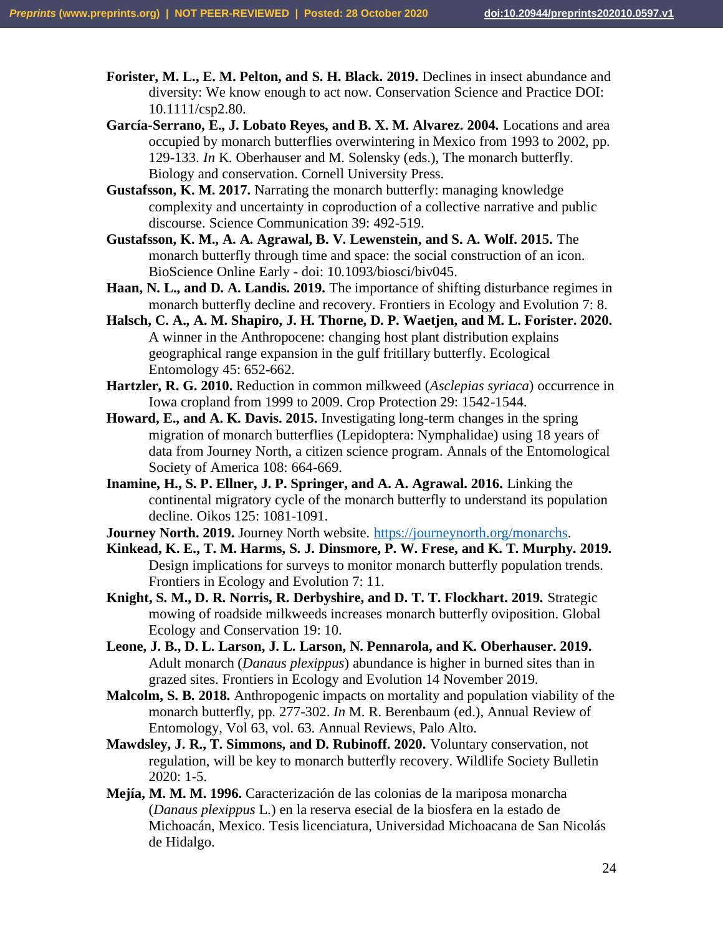**Forister, M. L., E. M. Pelton, and S. H. Black. 2019.** Declines in insect abundance and diversity: We know enough to act now. Conservation Science and Practice DOI: 10.1111/csp2.80.

**García-Serrano, E., J. Lobato Reyes, and B. X. M. Alvarez. 2004.** Locations and area occupied by monarch butterflies overwintering in Mexico from 1993 to 2002, pp. 129-133. *In* K. Oberhauser and M. Solensky (eds.), The monarch butterfly. Biology and conservation. Cornell University Press.

**Gustafsson, K. M. 2017.** Narrating the monarch butterfly: managing knowledge complexity and uncertainty in coproduction of a collective narrative and public discourse. Science Communication 39: 492-519.

**Gustafsson, K. M., A. A. Agrawal, B. V. Lewenstein, and S. A. Wolf. 2015.** The monarch butterfly through time and space: the social construction of an icon. BioScience Online Early - doi: 10.1093/biosci/biv045.

**Haan, N. L., and D. A. Landis. 2019.** The importance of shifting disturbance regimes in monarch butterfly decline and recovery. Frontiers in Ecology and Evolution 7: 8.

**Halsch, C. A., A. M. Shapiro, J. H. Thorne, D. P. Waetjen, and M. L. Forister. 2020.** A winner in the Anthropocene: changing host plant distribution explains geographical range expansion in the gulf fritillary butterfly. Ecological Entomology 45: 652-662.

**Hartzler, R. G. 2010.** Reduction in common milkweed (*Asclepias syriaca*) occurrence in Iowa cropland from 1999 to 2009. Crop Protection 29: 1542-1544.

**Howard, E., and A. K. Davis. 2015.** Investigating long-term changes in the spring migration of monarch butterflies (Lepidoptera: Nymphalidae) using 18 years of data from Journey North, a citizen science program. Annals of the Entomological Society of America 108: 664-669.

**Inamine, H., S. P. Ellner, J. P. Springer, and A. A. Agrawal. 2016.** Linking the continental migratory cycle of the monarch butterfly to understand its population decline. Oikos 125: 1081-1091.

**Journey North. 2019.** Journey North website. [https://journeynorth.org/monarchs.](https://journeynorth.org/monarchs)

**Kinkead, K. E., T. M. Harms, S. J. Dinsmore, P. W. Frese, and K. T. Murphy. 2019.** Design implications for surveys to monitor monarch butterfly population trends. Frontiers in Ecology and Evolution 7: 11.

**Knight, S. M., D. R. Norris, R. Derbyshire, and D. T. T. Flockhart. 2019.** Strategic mowing of roadside milkweeds increases monarch butterfly oviposition. Global Ecology and Conservation 19: 10.

**Leone, J. B., D. L. Larson, J. L. Larson, N. Pennarola, and K. Oberhauser. 2019.** Adult monarch (*Danaus plexippus*) abundance is higher in burned sites than in grazed sites. Frontiers in Ecology and Evolution 14 November 2019.

**Malcolm, S. B. 2018.** Anthropogenic impacts on mortality and population viability of the monarch butterfly, pp. 277-302. *In* M. R. Berenbaum (ed.), Annual Review of Entomology, Vol 63, vol. 63. Annual Reviews, Palo Alto.

**Mawdsley, J. R., T. Simmons, and D. Rubinoff. 2020.** Voluntary conservation, not regulation, will be key to monarch butterfly recovery. Wildlife Society Bulletin 2020: 1-5.

**Mejía, M. M. M. 1996.** Caracterización de las colonias de la mariposa monarcha (*Danaus plexippus* L.) en la reserva esecial de la biosfera en la estado de Michoacán, Mexico. Tesis licenciatura, Universidad Michoacana de San Nicolás de Hidalgo.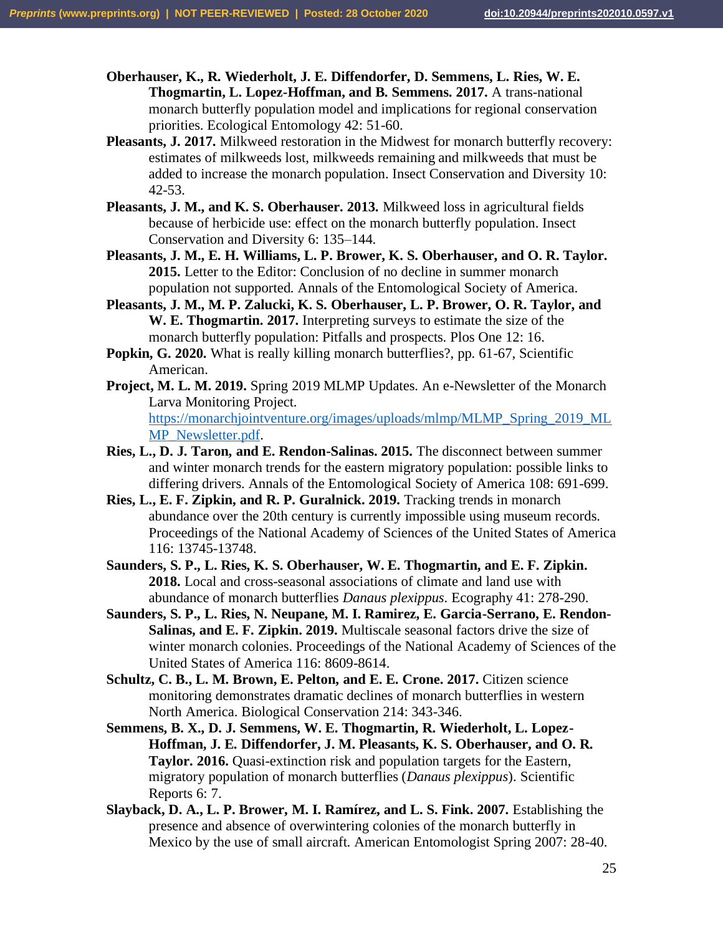**Oberhauser, K., R. Wiederholt, J. E. Diffendorfer, D. Semmens, L. Ries, W. E. Thogmartin, L. Lopez-Hoffman, and B. Semmens. 2017.** A trans-national monarch butterfly population model and implications for regional conservation priorities. Ecological Entomology 42: 51-60.

- **Pleasants, J. 2017.** Milkweed restoration in the Midwest for monarch butterfly recovery: estimates of milkweeds lost, milkweeds remaining and milkweeds that must be added to increase the monarch population. Insect Conservation and Diversity 10: 42-53.
- **Pleasants, J. M., and K. S. Oberhauser. 2013.** Milkweed loss in agricultural fields because of herbicide use: effect on the monarch butterfly population. Insect Conservation and Diversity 6: 135–144.
- **Pleasants, J. M., E. H. Williams, L. P. Brower, K. S. Oberhauser, and O. R. Taylor. 2015.** Letter to the Editor: Conclusion of no decline in summer monarch population not supported. Annals of the Entomological Society of America.
- **Pleasants, J. M., M. P. Zalucki, K. S. Oberhauser, L. P. Brower, O. R. Taylor, and W. E. Thogmartin. 2017.** Interpreting surveys to estimate the size of the monarch butterfly population: Pitfalls and prospects. Plos One 12: 16.
- **Popkin, G. 2020.** What is really killing monarch butterflies?, pp. 61-67, Scientific American.
- **Project, M. L. M. 2019.** Spring 2019 MLMP Updates. An e-Newsletter of the Monarch Larva Monitoring Project. [https://monarchjointventure.org/images/uploads/mlmp/MLMP\\_Spring\\_2019\\_ML](https://monarchjointventure.org/images/uploads/mlmp/MLMP_Spring_2019_MLMP_Newsletter.pdf) [MP\\_Newsletter.pdf.](https://monarchjointventure.org/images/uploads/mlmp/MLMP_Spring_2019_MLMP_Newsletter.pdf)
- **Ries, L., D. J. Taron, and E. Rendon-Salinas. 2015.** The disconnect between summer and winter monarch trends for the eastern migratory population: possible links to differing drivers. Annals of the Entomological Society of America 108: 691-699.
- **Ries, L., E. F. Zipkin, and R. P. Guralnick. 2019.** Tracking trends in monarch abundance over the 20th century is currently impossible using museum records. Proceedings of the National Academy of Sciences of the United States of America 116: 13745-13748.
- **Saunders, S. P., L. Ries, K. S. Oberhauser, W. E. Thogmartin, and E. F. Zipkin. 2018.** Local and cross-seasonal associations of climate and land use with abundance of monarch butterflies *Danaus plexippus*. Ecography 41: 278-290.
- **Saunders, S. P., L. Ries, N. Neupane, M. I. Ramirez, E. Garcia-Serrano, E. Rendon-Salinas, and E. F. Zipkin. 2019.** Multiscale seasonal factors drive the size of winter monarch colonies. Proceedings of the National Academy of Sciences of the United States of America 116: 8609-8614.
- **Schultz, C. B., L. M. Brown, E. Pelton, and E. E. Crone. 2017.** Citizen science monitoring demonstrates dramatic declines of monarch butterflies in western North America. Biological Conservation 214: 343-346.
- **Semmens, B. X., D. J. Semmens, W. E. Thogmartin, R. Wiederholt, L. Lopez-Hoffman, J. E. Diffendorfer, J. M. Pleasants, K. S. Oberhauser, and O. R. Taylor. 2016.** Quasi-extinction risk and population targets for the Eastern, migratory population of monarch butterflies (*Danaus plexippus*). Scientific Reports 6: 7.
- **Slayback, D. A., L. P. Brower, M. I. Ramírez, and L. S. Fink. 2007.** Establishing the presence and absence of overwintering colonies of the monarch butterfly in Mexico by the use of small aircraft. American Entomologist Spring 2007: 28-40.